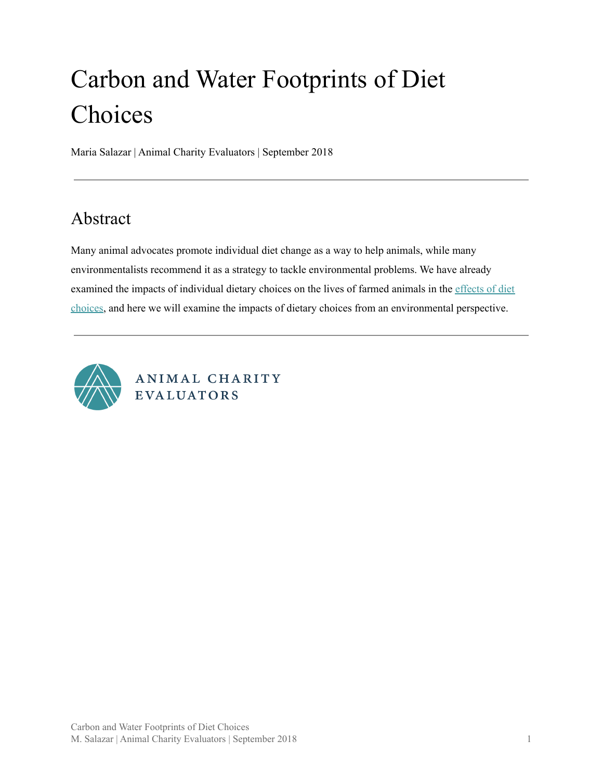# Carbon and Water Footprints of Diet Choices

Maria Salazar | Animal Charity Evaluators | September 2018

### <span id="page-0-0"></span>Abstract

Many animal advocates promote individual diet change as a way to help animals, while many environmentalists recommend it as a strategy to tackle environmental problems. We have already examined the impacts of individual dietary choices on the lives of farmed animals in the [effects](https://animalcharityevaluators.org/research/dietary-impacts/effects-of-diet-choices/) of diet [choices,](https://animalcharityevaluators.org/research/dietary-impacts/effects-of-diet-choices/) and here we will examine the impacts of dietary choices from an environmental perspective.

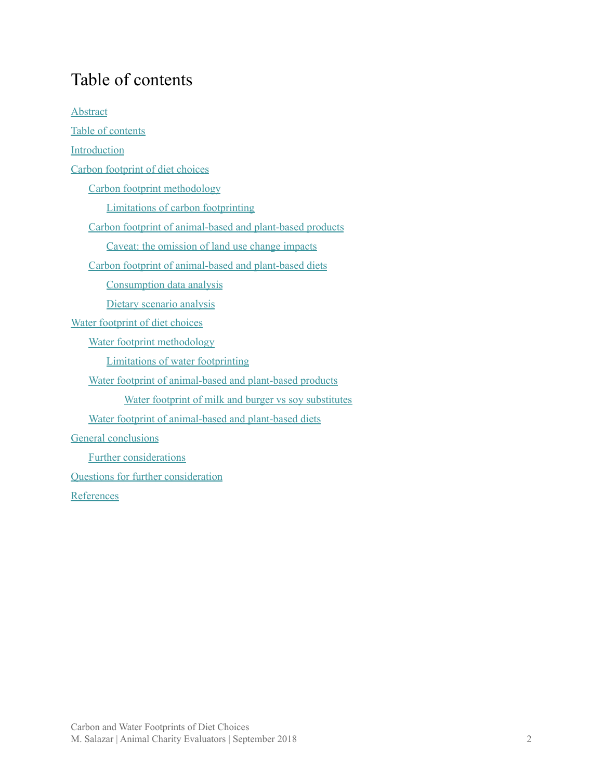## <span id="page-1-0"></span>Table of contents

| <b>Abstract</b>                                           |
|-----------------------------------------------------------|
| Table of contents                                         |
| Introduction                                              |
| Carbon footprint of diet choices                          |
| Carbon footprint methodology                              |
| <b>Limitations of carbon footprinting</b>                 |
| Carbon footprint of animal-based and plant-based products |
| Caveat: the omission of land use change impacts           |
| Carbon footprint of animal-based and plant-based diets    |
| Consumption data analysis                                 |
| Dietary scenario analysis                                 |
| Water footprint of diet choices                           |
| Water footprint methodology                               |
| Limitations of water footprinting                         |
| Water footprint of animal-based and plant-based products  |
| Water footprint of milk and burger vs soy substitutes     |
| Water footprint of animal-based and plant-based diets     |
| <b>General conclusions</b>                                |
| <b>Further considerations</b>                             |
| <b>Questions for further consideration</b>                |
| References                                                |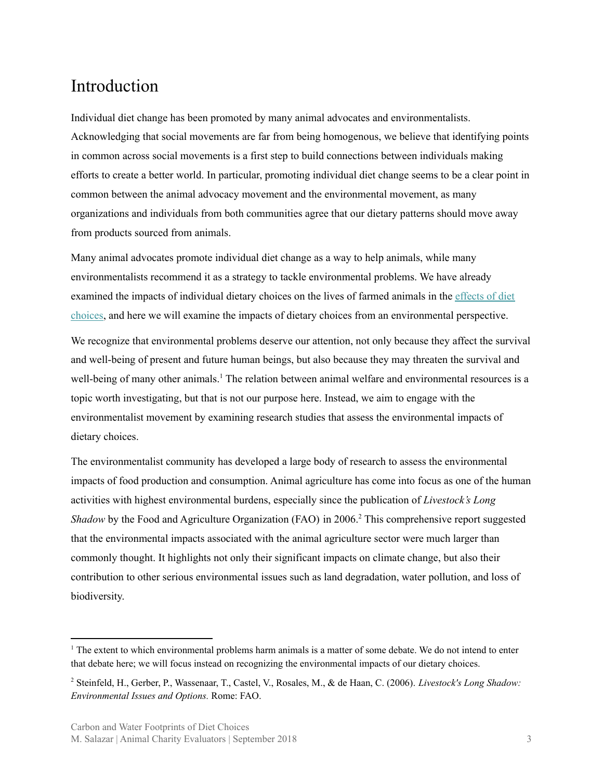### <span id="page-2-0"></span>Introduction

Individual diet change has been promoted by many animal advocates and environmentalists. Acknowledging that social movements are far from being homogenous, we believe that identifying points in common across social movements is a first step to build connections between individuals making efforts to create a better world. In particular, promoting individual diet change seems to be a clear point in common between the animal advocacy movement and the environmental movement, as many organizations and individuals from both communities agree that our dietary patterns should move away from products sourced from animals.

Many animal advocates promote individual diet change as a way to help animals, while many environmentalists recommend it as a strategy to tackle environmental problems. We have already examined the impacts of individual dietary choices on the lives of farmed animals in the [effects](https://animalcharityevaluators.org/research/dietary-impacts/effects-of-diet-choices/) of diet [choices,](https://animalcharityevaluators.org/research/dietary-impacts/effects-of-diet-choices/) and here we will examine the impacts of dietary choices from an environmental perspective.

We recognize that environmental problems deserve our attention, not only because they affect the survival and well-being of present and future human beings, but also because they may threaten the survival and well-being of many other animals.<sup>1</sup> The relation between animal welfare and environmental resources is a topic worth investigating, but that is not our purpose here. Instead, we aim to engage with the environmentalist movement by examining research studies that assess the environmental impacts of dietary choices.

The environmentalist community has developed a large body of research to assess the environmental impacts of food production and consumption. Animal agriculture has come into focus as one of the human activities with highest environmental burdens, especially since the publication of *Livestock's Long* Shadow by the Food and Agriculture Organization (FAO) in 2006.<sup>2</sup> This comprehensive report suggested that the environmental impacts associated with the animal agriculture sector were much larger than commonly thought. It highlights not only their significant impacts on climate change, but also their contribution to other serious environmental issues such as land degradation, water pollution, and loss of biodiversity.

<sup>&</sup>lt;sup>1</sup> The extent to which environmental problems harm animals is a matter of some debate. We do not intend to enter that debate here; we will focus instead on recognizing the environmental impacts of our dietary choices.

<sup>2</sup> Steinfeld, H., Gerber, P., Wassenaar, T., Castel, V., Rosales, M., & de Haan, C. (2006). *Livestock's Long Shadow: Environmental Issues and Options.* Rome: FAO.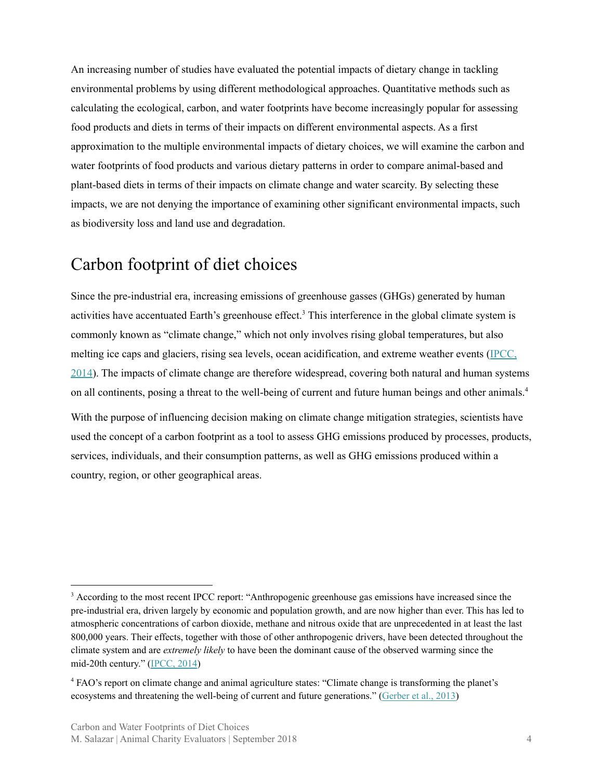An increasing number of studies have evaluated the potential impacts of dietary change in tackling environmental problems by using different methodological approaches. Quantitative methods such as calculating the ecological, carbon, and water footprints have become increasingly popular for assessing food products and diets in terms of their impacts on different environmental aspects. As a first approximation to the multiple environmental impacts of dietary choices, we will examine the carbon and water footprints of food products and various dietary patterns in order to compare animal-based and plant-based diets in terms of their impacts on climate change and water scarcity. By selecting these impacts, we are not denying the importance of examining other significant environmental impacts, such as biodiversity loss and land use and degradation.

#### <span id="page-3-0"></span>Carbon footprint of diet choices

Since the pre-industrial era, increasing emissions of greenhouse gasses (GHGs) generated by human activities have accentuated Earth's greenhouse effect.<sup>3</sup> This interference in the global climate system is commonly known as "climate change," which not only involves rising global temperatures, but also melting ice caps and glaciers, rising sea levels, ocean acidification, and extreme weather events ([IPCC,](http://www.ipcc.ch/report/ar5/syr/) [2014\)](http://www.ipcc.ch/report/ar5/syr/). The impacts of climate change are therefore widespread, covering both natural and human systems on all continents, posing a threat to the well-being of current and future human beings and other animals. 4

With the purpose of influencing decision making on climate change mitigation strategies, scientists have used the concept of a carbon footprint as a tool to assess GHG emissions produced by processes, products, services, individuals, and their consumption patterns, as well as GHG emissions produced within a country, region, or other geographical areas.

<sup>&</sup>lt;sup>3</sup> According to the most recent IPCC report: "Anthropogenic greenhouse gas emissions have increased since the pre-industrial era, driven largely by economic and population growth, and are now higher than ever. This has led to atmospheric concentrations of carbon dioxide, methane and nitrous oxide that are unprecedented in at least the last 800,000 years. Their effects, together with those of other anthropogenic drivers, have been detected throughout the climate system and are *extremely likely* to have been the dominant cause of the observed warming since the mid-20th century." [\(IPCC,](http://www.ipcc.ch/report/ar5/syr/) 2014)

<sup>4</sup> FAO's report on climate change and animal agriculture states: "Climate change is transforming the planet's ecosystems and threatening the well-being of current and future generations." [\(Gerber](http://www.fao.org/3/a-i3437e.pdf) et al., 2013)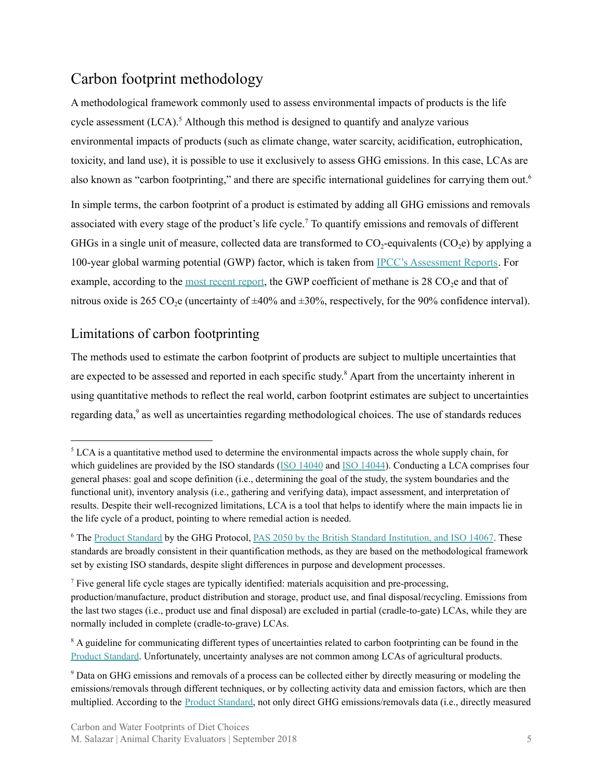#### <span id="page-4-0"></span>Carbon footprint methodology

A methodological framework commonly used to assess environmental impacts of products is the life cycle assessment  $(LCA)$ .<sup>5</sup> Although this method is designed to quantify and analyze various environmental impacts of products (such as climate change, water scarcity, acidification, eutrophication, toxicity, and land use), it is possible to use it exclusively to assess GHG emissions. In this case, LCAs are also known as "carbon footprinting," and there are specific international guidelines for carrying them out.<sup>6</sup>

In simple terms, the carbon footprint of a product is estimated by adding all GHG emissions and removals associated with every stage of the product's life cycle.<sup>7</sup> To quantify emissions and removals of different GHGs in a single unit of measure, collected data are transformed to  $CO_2$ -equivalents  $(CO_2e)$  by applying a 100-year global warming potential (GWP) factor, which is taken from IPCC's [Assessment](http://www.ipcc.ch/publications_and_data/publications_and_data_reports.shtml#1) Reports. For example, according to the most [recent](http://www.ipcc.ch/report/ar5/syr/) report, the GWP coefficient of methane is  $28 \text{ CO}_2$ e and that of nitrous oxide is 265 CO<sub>2</sub>e (uncertainty of  $\pm 40\%$  and  $\pm 30\%$ , respectively, for the 90% confidence interval).

#### <span id="page-4-1"></span>Limitations of carbon footprinting

The methods used to estimate the carbon footprint of products are subject to multiple uncertainties that are expected to be assessed and reported in each specific study.<sup>8</sup> Apart from the uncertainty inherent in using quantitative methods to reflect the real world, carbon footprint estimates are subject to uncertainties regarding data,<sup>9</sup> as well as uncertainties regarding methodological choices. The use of standards reduces

<sup>&</sup>lt;sup>5</sup> LCA is a quantitative method used to determine the environmental impacts across the whole supply chain, for which guidelines are provided by the ISO standards (ISO [14040](https://www.iso.org/standard/37456.html) and ISO [14044](https://www.iso.org/standard/38498.html)). Conducting a LCA comprises four general phases: goal and scope definition (i.e., determining the goal of the study, the system boundaries and the functional unit), inventory analysis (i.e., gathering and verifying data), impact assessment, and interpretation of results. Despite their well-recognized limitations, LCA is a tool that helps to identify where the main impacts lie in the life cycle of a product, pointing to where remedial action is needed.

<sup>&</sup>lt;sup>6</sup> The Product [Standard](http://www.ghgprotocol.org/sites/default/files/ghgp/standards/Product-Life-Cycle-Accounting-Reporting-Standard_041613.pdf) by the GHG Protocol, PAS [2050](http://shop.bsigroup.com/upload/shop/download/pas/pas2050.pdf) by the British Standard Institution, and ISO [14067](https://www.iso.org/standard/59521.html). These standards are broadly consistent in their quantification methods, as they are based on the methodological framework set by existing ISO standards, despite slight differences in purpose and development processes.

<sup>7</sup> Five general life cycle stages are typically identified: materials acquisition and pre-processing,

production/manufacture, product distribution and storage, product use, and final disposal/recycling. Emissions from the last two stages (i.e., product use and final disposal) are excluded in partial (cradle-to-gate) LCAs, while they are normally included in complete (cradle-to-grave) LCAs.

<sup>&</sup>lt;sup>8</sup> A guideline for communicating different types of uncertainties related to carbon footprinting can be found in the Product [Standard](http://www.ghgprotocol.org/sites/default/files/ghgp/standards/Product-Life-Cycle-Accounting-Reporting-Standard_041613.pdf). Unfortunately, uncertainty analyses are not common among LCAs of agricultural products.

<sup>9</sup> Data on GHG emissions and removals of a process can be collected either by directly measuring or modeling the emissions/removals through different techniques, or by collecting activity data and emission factors, which are then multiplied. According to the Product [Standard,](http://www.ghgprotocol.org/sites/default/files/ghgp/standards/Product-Life-Cycle-Accounting-Reporting-Standard_041613.pdf) not only direct GHG emissions/removals data (i.e., directly measured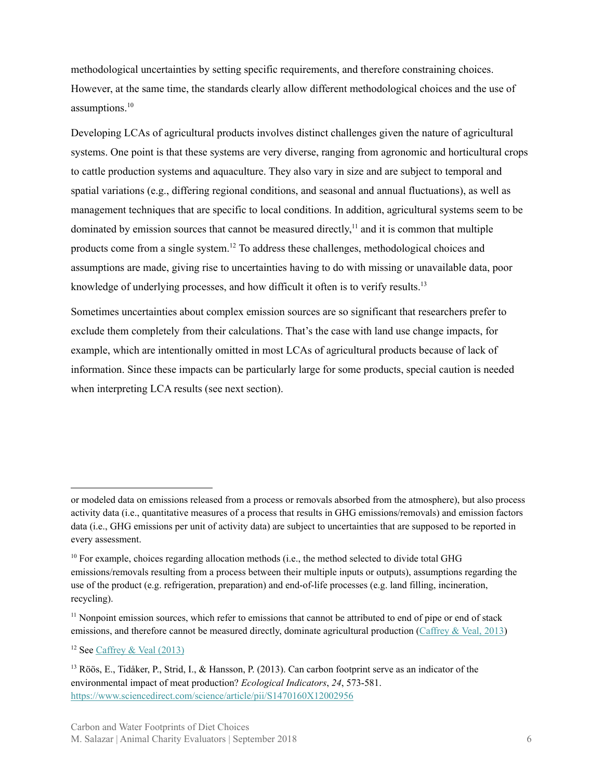methodological uncertainties by setting specific requirements, and therefore constraining choices. However, at the same time, the standards clearly allow different methodological choices and the use of assumptions. 10

Developing LCAs of agricultural products involves distinct challenges given the nature of agricultural systems. One point is that these systems are very diverse, ranging from agronomic and horticultural crops to cattle production systems and aquaculture. They also vary in size and are subject to temporal and spatial variations (e.g., differing regional conditions, and seasonal and annual fluctuations), as well as management techniques that are specific to local conditions. In addition, agricultural systems seem to be dominated by emission sources that cannot be measured directly, $<sup>11</sup>$  and it is common that multiple</sup> products come from a single system.<sup>12</sup> To address these challenges, methodological choices and assumptions are made, giving rise to uncertainties having to do with missing or unavailable data, poor knowledge of underlying processes, and how difficult it often is to verify results.<sup>13</sup>

Sometimes uncertainties about complex emission sources are so significant that researchers prefer to exclude them completely from their calculations. That's the case with land use change impacts, for example, which are intentionally omitted in most LCAs of agricultural products because of lack of information. Since these impacts can be particularly large for some products, special caution is needed when interpreting LCA results (see next section).

or modeled data on emissions released from a process or removals absorbed from the atmosphere), but also process activity data (i.e., quantitative measures of a process that results in GHG emissions/removals) and emission factors data (i.e., GHG emissions per unit of activity data) are subject to uncertainties that are supposed to be reported in every assessment.

 $10$  For example, choices regarding allocation methods (i.e., the method selected to divide total GHG emissions/removals resulting from a process between their multiple inputs or outputs), assumptions regarding the use of the product (e.g. refrigeration, preparation) and end-of-life processes (e.g. land filling, incineration, recycling).

<sup>&</sup>lt;sup>11</sup> Nonpoint emission sources, which refer to emissions that cannot be attributed to end of pipe or end of stack emissions, and therefore cannot be measured directly, dominate agricultural production [\(Caffrey](http://dx.doi.org/10.1155/2013/472431) & Veal, 2013)

 $12$  See [Caffrey](http://dx.doi.org/10.1155/2013/472431) & Veal (2013)

<sup>&</sup>lt;sup>13</sup> Röös, E., Tidåker, P., Strid, I., & Hansson, P. (2013). Can carbon footprint serve as an indicator of the environmental impact of meat production? *Ecological Indicators*, *24*, 573-581. <https://www.sciencedirect.com/science/article/pii/S1470160X12002956>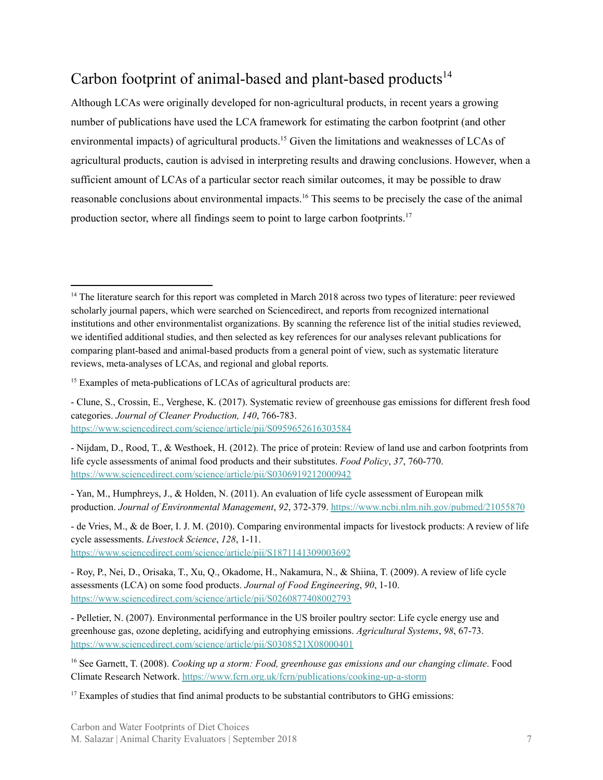### <span id="page-6-0"></span>Carbon footprint of animal-based and plant-based products<sup>14</sup>

Although LCAs were originally developed for non-agricultural products, in recent years a growing number of publications have used the LCA framework for estimating the carbon footprint (and other environmental impacts) of agricultural products.<sup>15</sup> Given the limitations and weaknesses of LCAs of agricultural products, caution is advised in interpreting results and drawing conclusions. However, when a sufficient amount of LCAs of a particular sector reach similar outcomes, it may be possible to draw reasonable conclusions about environmental impacts.<sup>16</sup> This seems to be precisely the case of the animal production sector, where all findings seem to point to large carbon footprints.<sup>17</sup>

<https://www.sciencedirect.com/science/article/pii/S0306919212000942>

- de Vries, M., & de Boer, I. J. M. (2010). Comparing environmental impacts for livestock products: A review of life cycle assessments. *Livestock Science*, *128*, 1-11. <https://www.sciencedirect.com/science/article/pii/S1871141309003692>

<sup>&</sup>lt;sup>14</sup> The literature search for this report was completed in March 2018 across two types of literature: peer reviewed scholarly journal papers, which were searched on Sciencedirect, and reports from recognized international institutions and other environmentalist organizations. By scanning the reference list of the initial studies reviewed, we identified additional studies, and then selected as key references for our analyses relevant publications for comparing plant-based and animal-based products from a general point of view, such as systematic literature reviews, meta-analyses of LCAs, and regional and global reports.

 $15$  Examples of meta-publications of LCAs of agricultural products are:

<sup>-</sup> Clune, S., Crossin, E., Verghese, K. (2017). Systematic review of greenhouse gas emissions for different fresh food categories. *Journal of Cleaner Production, 140*, 766-783. <https://www.sciencedirect.com/science/article/pii/S0959652616303584>

<sup>-</sup> Nijdam, D., Rood, T., & Westhoek, H. (2012). The price of protein: Review of land use and carbon footprints from life cycle assessments of animal food products and their substitutes. *Food Policy*, *37*, 760-770.

<sup>-</sup> Yan, M., Humphreys, J., & Holden, N. (2011). An evaluation of life cycle assessment of European milk production. *Journal of Environmental Management*, *92*, 372-379. <https://www.ncbi.nlm.nih.gov/pubmed/21055870>

<sup>-</sup> Roy, P., Nei, D., Orisaka, T., Xu, Q., Okadome, H., Nakamura, N., & Shiina, T. (2009). A review of life cycle assessments (LCA) on some food products. *Journal of Food Engineering*, *90*, 1-10. <https://www.sciencedirect.com/science/article/pii/S0260877408002793>

<sup>-</sup> Pelletier, N. (2007). Environmental performance in the US broiler poultry sector: Life cycle energy use and greenhouse gas, ozone depleting, acidifying and eutrophying emissions. *Agricultural Systems*, *98*, 67-73. <https://www.sciencedirect.com/science/article/pii/S0308521X08000401>

<sup>16</sup> See Garnett, T. (2008). *Cooking up a storm: Food, greenhouse gas emissions and our changing climate*. Food Climate Research Network. <https://www.fcrn.org.uk/fcrn/publications/cooking-up-a-storm>

<sup>&</sup>lt;sup>17</sup> Examples of studies that find animal products to be substantial contributors to GHG emissions: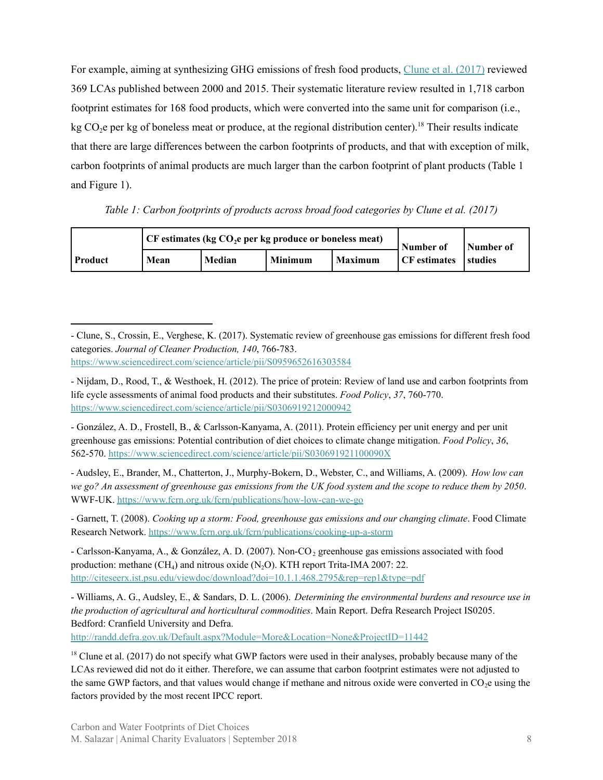For example, aiming at synthesizing GHG emissions of fresh food products, Clune et al. [\(2017\)](https://www.sciencedirect.com/science/article/pii/S0959652616303584) reviewed 369 LCAs published between 2000 and 2015. Their systematic literature review resulted in 1,718 carbon footprint estimates for 168 food products, which were converted into the same unit for comparison (i.e., kg  $CO<sub>2</sub>e$  per kg of boneless meat or produce, at the regional distribution center).<sup>18</sup> Their results indicate that there are large differences between the carbon footprints of products, and that with exception of milk, carbon footprints of animal products are much larger than the carbon footprint of plant products (Table 1 and Figure 1).

*Table 1: Carbon footprints of products across broad food categories by Clune et al. (2017)*

|                |      | $\vert$ CF estimates (kg CO <sub>2</sub> e per kg produce or boneless meat) | Number of | Number of |                     |                |
|----------------|------|-----------------------------------------------------------------------------|-----------|-----------|---------------------|----------------|
| <b>Product</b> | Mean | Median                                                                      | Minimum   | l Maximum | <b>CF</b> estimates | <b>Studies</b> |

- González, A. D., Frostell, B., & Carlsson-Kanyama, A. (2011). Protein efficiency per unit energy and per unit greenhouse gas emissions: Potential contribution of diet choices to climate change mitigation. *Food Policy*, *36*, 562-570. <https://www.sciencedirect.com/science/article/pii/S030691921100090X>

- Audsley, E., Brander, M., Chatterton, J., Murphy-Bokern, D., Webster, C., and Williams, A. (2009). *How low can* we go? An assessment of greenhouse gas emissions from the UK food system and the scope to reduce them by 2050. WWF-UK. <https://www.fcrn.org.uk/fcrn/publications/how-low-can-we-go>

- Garnett, T. (2008). *Cooking up a storm: Food, greenhouse gas emissions and our changing climate*. Food Climate Research Network. <https://www.fcrn.org.uk/fcrn/publications/cooking-up-a-storm>

- Carlsson-Kanyama, A., & González, A. D. (2007). Non-CO<sub>2</sub> greenhouse gas emissions associated with food production: methane  $(CH_4)$  and nitrous oxide  $(N_2O)$ . KTH report Trita-IMA 2007: 22. <http://citeseerx.ist.psu.edu/viewdoc/download?doi=10.1.1.468.2795&rep=rep1&type=pdf>

- Williams, A. G., Audsley, E., & Sandars, D. L. (2006). *Determining the environmental burdens and resource use in the production of agricultural and horticultural commodities*. Main Report. Defra Research Project IS0205. Bedford: Cranfield University and Defra.

<http://randd.defra.gov.uk/Default.aspx?Module=More&Location=None&ProjectID=11442>

<sup>-</sup> Clune, S., Crossin, E., Verghese, K. (2017). Systematic review of greenhouse gas emissions for different fresh food categories. *Journal of Cleaner Production, 140*, 766-783. <https://www.sciencedirect.com/science/article/pii/S0959652616303584>

<sup>-</sup> Nijdam, D., Rood, T., & Westhoek, H. (2012). The price of protein: Review of land use and carbon footprints from life cycle assessments of animal food products and their substitutes. *Food Policy*, *37*, 760-770. <https://www.sciencedirect.com/science/article/pii/S0306919212000942>

 $18$  Clune et al. (2017) do not specify what GWP factors were used in their analyses, probably because many of the LCAs reviewed did not do it either. Therefore, we can assume that carbon footprint estimates were not adjusted to the same GWP factors, and that values would change if methane and nitrous oxide were converted in  $CO<sub>2</sub>e$  using the factors provided by the most recent IPCC report.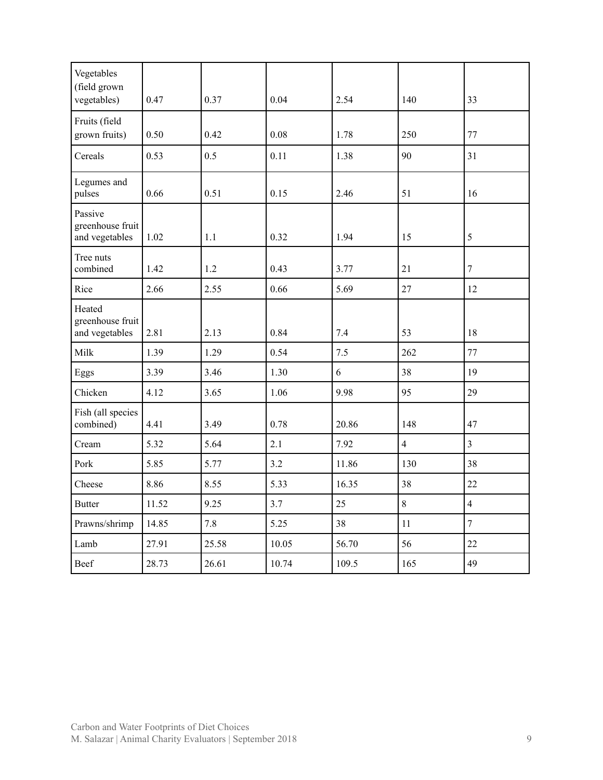| Vegetables<br>(field grown                    |       |       |       |       |                |                |
|-----------------------------------------------|-------|-------|-------|-------|----------------|----------------|
| vegetables)                                   | 0.47  | 0.37  | 0.04  | 2.54  | 140            | 33             |
| Fruits (field<br>grown fruits)                | 0.50  | 0.42  | 0.08  | 1.78  | 250            | 77             |
| Cereals                                       | 0.53  | 0.5   | 0.11  | 1.38  | 90             | 31             |
| Legumes and<br>pulses                         | 0.66  | 0.51  | 0.15  | 2.46  | 51             | 16             |
| Passive<br>greenhouse fruit<br>and vegetables | 1.02  | 1.1   | 0.32  | 1.94  | 15             | 5              |
| Tree nuts<br>combined                         | 1.42  | 1.2   | 0.43  | 3.77  | 21             | $\tau$         |
| Rice                                          | 2.66  | 2.55  | 0.66  | 5.69  | 27             | 12             |
| Heated<br>greenhouse fruit<br>and vegetables  | 2.81  | 2.13  | 0.84  | 7.4   | 53             | 18             |
| Milk                                          | 1.39  | 1.29  | 0.54  | 7.5   | 262            | 77             |
| Eggs                                          | 3.39  | 3.46  | 1.30  | 6     | 38             | 19             |
| Chicken                                       | 4.12  | 3.65  | 1.06  | 9.98  | 95             | 29             |
| Fish (all species<br>combined)                | 4.41  | 3.49  | 0.78  | 20.86 | 148            | 47             |
| Cream                                         | 5.32  | 5.64  | 2.1   | 7.92  | $\overline{4}$ | $\overline{3}$ |
| Pork                                          | 5.85  | 5.77  | 3.2   | 11.86 | 130            | 38             |
| Cheese                                        | 8.86  | 8.55  | 5.33  | 16.35 | 38             | 22             |
| <b>Butter</b>                                 | 11.52 | 9.25  | 3.7   | 25    | $\,8\,$        | $\overline{4}$ |
| Prawns/shrimp                                 | 14.85 | 7.8   | 5.25  | 38    | 11             | $\overline{7}$ |
| Lamb                                          | 27.91 | 25.58 | 10.05 | 56.70 | 56             | 22             |
| Beef                                          | 28.73 | 26.61 | 10.74 | 109.5 | 165            | 49             |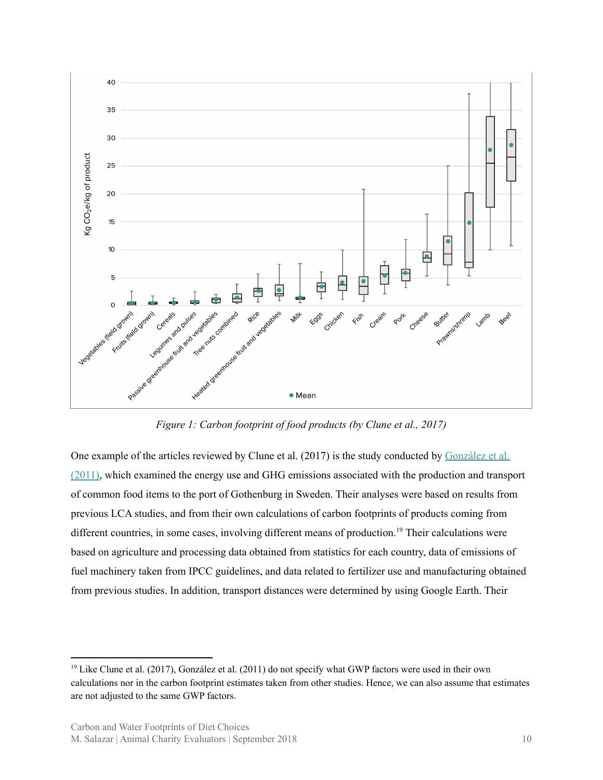

*Figure 1: Carbon footprint of food products (by Clune et al., 2017)*

One example of the articles reviewed by Clune et al. (2017) is the study conducted by [González](https://www.sciencedirect.com/science/article/pii/S030691921100090X) et al. [\(2011\),](https://www.sciencedirect.com/science/article/pii/S030691921100090X) which examined the energy use and GHG emissions associated with the production and transport of common food items to the port of Gothenburg in Sweden. Their analyses were based on results from previous LCA studies, and from their own calculations of carbon footprints of products coming from different countries, in some cases, involving different means of production.<sup>19</sup> Their calculations were based on agriculture and processing data obtained from statistics for each country, data of emissions of fuel machinery taken from IPCC guidelines, and data related to fertilizer use and manufacturing obtained from previous studies. In addition, transport distances were determined by using Google Earth. Their

<sup>&</sup>lt;sup>19</sup> Like Clune et al. (2017), González et al. (2011) do not specify what GWP factors were used in their own calculations nor in the carbon footprint estimates taken from other studies. Hence, we can also assume that estimates are not adjusted to the same GWP factors.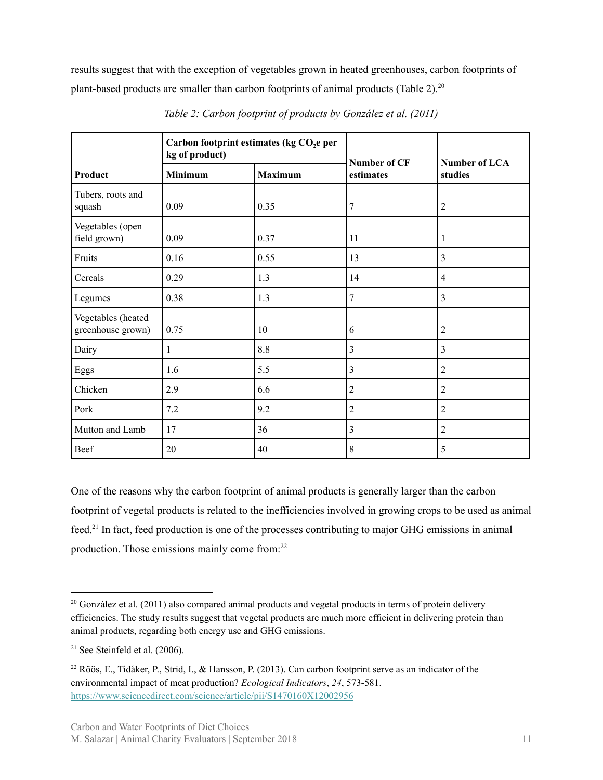results suggest that with the exception of vegetables grown in heated greenhouses, carbon footprints of plant-based products are smaller than carbon footprints of animal products (Table 2).<sup>20</sup>

|                                         | Carbon footprint estimates (kg CO <sub>2</sub> e per<br>kg of product) |      | Number of CF   |                          |  |
|-----------------------------------------|------------------------------------------------------------------------|------|----------------|--------------------------|--|
| Product                                 | Minimum<br><b>Maximum</b>                                              |      | estimates      | Number of LCA<br>studies |  |
| Tubers, roots and<br>squash             | 0.09                                                                   | 0.35 | 7              | $\overline{2}$           |  |
| Vegetables (open<br>field grown)        | 0.09                                                                   | 0.37 | 11             | 1                        |  |
| Fruits                                  | 0.16                                                                   | 0.55 | 13             | 3                        |  |
| Cereals                                 | 0.29                                                                   | 1.3  | 14             | $\overline{4}$           |  |
| Legumes                                 | 0.38                                                                   | 1.3  | $\tau$         | 3                        |  |
| Vegetables (heated<br>greenhouse grown) | 0.75                                                                   | 10   | 6              | $\overline{2}$           |  |
| Dairy                                   | 1                                                                      | 8.8  | $\mathfrak{Z}$ | 3                        |  |
| Eggs                                    | 1.6                                                                    | 5.5  | 3              | $\overline{2}$           |  |
| Chicken                                 | 2.9                                                                    | 6.6  | $\overline{2}$ | $\overline{2}$           |  |
| Pork                                    | 7.2                                                                    | 9.2  | $\overline{c}$ | $\overline{2}$           |  |
| Mutton and Lamb                         | 17                                                                     | 36   | $\mathfrak{Z}$ | $\overline{2}$           |  |
| Beef                                    | 20                                                                     | 40   | 8              | 5                        |  |

*Table 2: Carbon footprint of products by González et al. (2011)*

One of the reasons why the carbon footprint of animal products is generally larger than the carbon footprint of vegetal products is related to the inefficiencies involved in growing crops to be used as animal feed.<sup>21</sup> In fact, feed production is one of the processes contributing to major GHG emissions in animal production. Those emissions mainly come from:<sup>22</sup>

 $20$  González et al. (2011) also compared animal products and vegetal products in terms of protein delivery efficiencies. The study results suggest that vegetal products are much more efficient in delivering protein than animal products, regarding both energy use and GHG emissions.

 $21$  See Steinfeld et al. (2006).

<sup>22</sup> Röös, E., Tidåker, P., Strid, I., & Hansson, P. (2013). Can carbon footprint serve as an indicator of the environmental impact of meat production? *Ecological Indicators*, *24*, 573-581. <https://www.sciencedirect.com/science/article/pii/S1470160X12002956>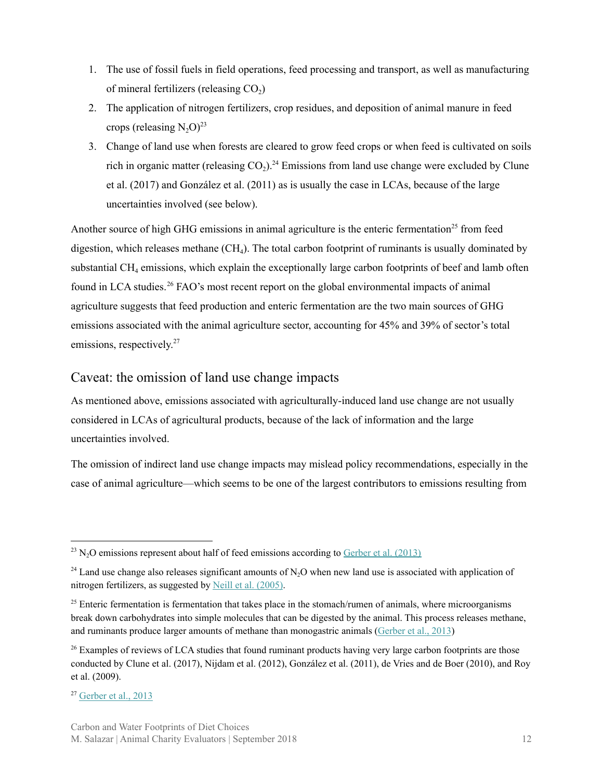- 1. The use of fossil fuels in field operations, feed processing and transport, as well as manufacturing of mineral fertilizers (releasing  $CO<sub>2</sub>$ )
- 2. The application of nitrogen fertilizers, crop residues, and deposition of animal manure in feed crops (releasing  $N_2O$ )<sup>23</sup>
- 3. Change of land use when forests are cleared to grow feed crops or when feed is cultivated on soils rich in organic matter (releasing  $CO<sub>2</sub>$ ).<sup>24</sup> Emissions from land use change were excluded by Clune et al. (2017) and González et al. (2011) as is usually the case in LCAs, because of the large uncertainties involved (see below).

Another source of high GHG emissions in animal agriculture is the enteric fermentation<sup>25</sup> from feed digestion, which releases methane  $(CH_4)$ . The total carbon footprint of ruminants is usually dominated by substantial  $CH_4$  emissions, which explain the exceptionally large carbon footprints of beef and lamb often found in LCA studies.<sup>26</sup> FAO's most recent report on the global environmental impacts of animal agriculture suggests that feed production and enteric fermentation are the two main sources of GHG emissions associated with the animal agriculture sector, accounting for 45% and 39% of sector's total emissions, respectively. 27

#### <span id="page-11-0"></span>Caveat: the omission of land use change impacts

As mentioned above, emissions associated with agriculturally-induced land use change are not usually considered in LCAs of agricultural products, because of the lack of information and the large uncertainties involved.

The omission of indirect land use change impacts may mislead policy recommendations, especially in the case of animal agriculture—which seems to be one of the largest contributors to emissions resulting from

 $^{23}$  N<sub>2</sub>O emissions represent about half of feed emissions according to [Gerber](http://www.fao.org/3/a-i3437e.pdf) et al. (2013)

<sup>&</sup>lt;sup>24</sup> Land use change also releases significant amounts of N<sub>2</sub>O when new land use is associated with application of nitrogen fertilizers, as suggested by Neill et al. [\(2005\)](https://link.springer.com/article/10.1007/s10705-004-0378-9).

 $25$  Enteric fermentation is fermentation that takes place in the stomach/rumen of animals, where microorganisms break down carbohydrates into simple molecules that can be digested by the animal. This process releases methane, and ruminants produce larger amounts of methane than monogastric animals ([Gerber](http://www.fao.org/3/a-i3437e.pdf) et al., 2013)

<sup>&</sup>lt;sup>26</sup> Examples of reviews of LCA studies that found ruminant products having very large carbon footprints are those conducted by Clune et al. (2017), Nijdam et al. (2012), González et al. (2011), de Vries and de Boer (2010), and Roy et al. (2009).

 $27$  [Gerber](http://www.fao.org/3/a-i3437e.pdf) et al., 2013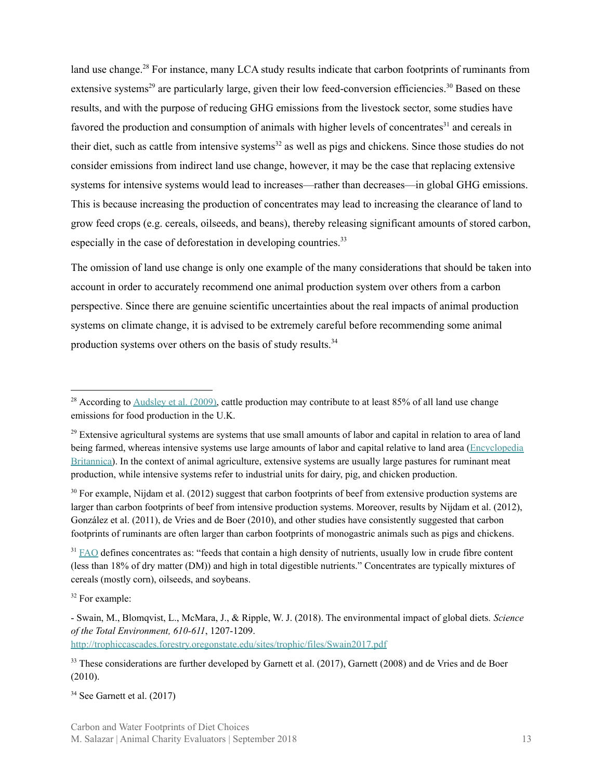land use change.<sup>28</sup> For instance, many LCA study results indicate that carbon footprints of ruminants from extensive systems<sup>29</sup> are particularly large, given their low feed-conversion efficiencies.<sup>30</sup> Based on these results, and with the purpose of reducing GHG emissions from the livestock sector, some studies have favored the production and consumption of animals with higher levels of concentrates<sup>31</sup> and cereals in their diet, such as cattle from intensive systems<sup>32</sup> as well as pigs and chickens. Since those studies do not consider emissions from indirect land use change, however, it may be the case that replacing extensive systems for intensive systems would lead to increases—rather than decreases—in global GHG emissions. This is because increasing the production of concentrates may lead to increasing the clearance of land to grow feed crops (e.g. cereals, oilseeds, and beans), thereby releasing significant amounts of stored carbon, especially in the case of deforestation in developing countries.<sup>33</sup>

The omission of land use change is only one example of the many considerations that should be taken into account in order to accurately recommend one animal production system over others from a carbon perspective. Since there are genuine scientific uncertainties about the real impacts of animal production systems on climate change, it is advised to be extremely careful before recommending some animal production systems over others on the basis of study results.<sup>34</sup>

 $30$  For example, Nijdam et al. (2012) suggest that carbon footprints of beef from extensive production systems are larger than carbon footprints of beef from intensive production systems. Moreover, results by Nijdam et al. (2012), González et al. (2011), de Vries and de Boer (2010), and other studies have consistently suggested that carbon footprints of ruminants are often larger than carbon footprints of monogastric animals such as pigs and chickens.

 $31$  [FAO](http://www.fao.org/wairdocs/lead/x6123e/x6123e04.htm) defines concentrates as: "feeds that contain a high density of nutrients, usually low in crude fibre content (less than 18% of dry matter (DM)) and high in total digestible nutrients." Concentrates are typically mixtures of cereals (mostly corn), oilseeds, and soybeans.

<sup>32</sup> For example:

<sup>33</sup> These considerations are further developed by Garnett et al. (2017), Garnett (2008) and de Vries and de Boer (2010).

<sup>34</sup> See Garnett et al. (2017)

<sup>&</sup>lt;sup>28</sup> According to  $\Delta$ udsley et al. (2009), cattle production may contribute to at least 85% of all land use change emissions for food production in the U.K.

 $29$  Extensive agricultural systems are systems that use small amounts of labor and capital in relation to area of land being farmed, whereas intensive systems use large amounts of labor and capital relative to land area [\(Encyclopedia](https://www.britannica.com/topic/extensive-agriculture) [Britannica\)](https://www.britannica.com/topic/extensive-agriculture). In the context of animal agriculture, extensive systems are usually large pastures for ruminant meat production, while intensive systems refer to industrial units for dairy, pig, and chicken production.

<sup>-</sup> Swain, M., Blomqvist, L., McMara, J., & Ripple, W. J. (2018). The environmental impact of global diets. *Science of the Total Environment, 610-611*, 1207-1209. <http://trophiccascades.forestry.oregonstate.edu/sites/trophic/files/Swain2017.pdf>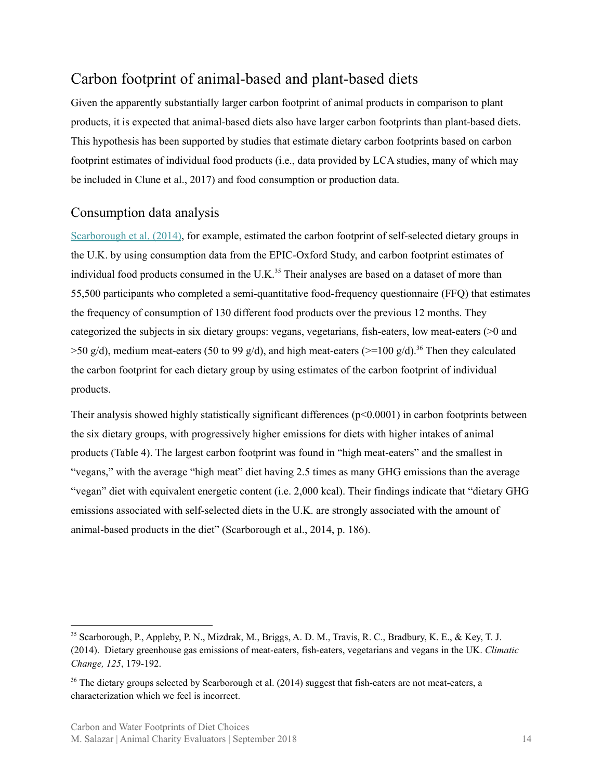#### <span id="page-13-0"></span>Carbon footprint of animal-based and plant-based diets

Given the apparently substantially larger carbon footprint of animal products in comparison to plant products, it is expected that animal-based diets also have larger carbon footprints than plant-based diets. This hypothesis has been supported by studies that estimate dietary carbon footprints based on carbon footprint estimates of individual food products (i.e., data provided by LCA studies, many of which may be included in Clune et al., 2017) and food consumption or production data.

#### <span id="page-13-1"></span>Consumption data analysis

[Scarborough](https://link.springer.com/article/10.1007/s10584-014-1169-1) et al. (2014), for example, estimated the carbon footprint of self-selected dietary groups in the U.K. by using consumption data from the EPIC-Oxford Study, and carbon footprint estimates of individual food products consumed in the U.K. $35$  Their analyses are based on a dataset of more than 55,500 participants who completed a semi-quantitative food-frequency questionnaire (FFQ) that estimates the frequency of consumption of 130 different food products over the previous 12 months. They categorized the subjects in six dietary groups: vegans, vegetarians, fish-eaters, low meat-eaters (>0 and  $>$ 50 g/d), medium meat-eaters (50 to 99 g/d), and high meat-eaters ( $>$ =100 g/d).<sup>36</sup> Then they calculated the carbon footprint for each dietary group by using estimates of the carbon footprint of individual products.

Their analysis showed highly statistically significant differences (p<0.0001) in carbon footprints between the six dietary groups, with progressively higher emissions for diets with higher intakes of animal products (Table 4). The largest carbon footprint was found in "high meat-eaters" and the smallest in "vegans," with the average "high meat" diet having 2.5 times as many GHG emissions than the average "vegan" diet with equivalent energetic content (i.e. 2,000 kcal). Their findings indicate that "dietary GHG emissions associated with self-selected diets in the U.K. are strongly associated with the amount of animal-based products in the diet" (Scarborough et al., 2014, p. 186).

<sup>35</sup> Scarborough, P., Appleby, P. N., Mizdrak, M., Briggs, A. D. M., Travis, R. C., Bradbury, K. E., & Key, T. J. (2014). Dietary greenhouse gas emissions of meat-eaters, fish-eaters, vegetarians and vegans in the UK. *Climatic Change, 125*, 179-192.

<sup>&</sup>lt;sup>36</sup> The dietary groups selected by Scarborough et al. (2014) suggest that fish-eaters are not meat-eaters, a characterization which we feel is incorrect.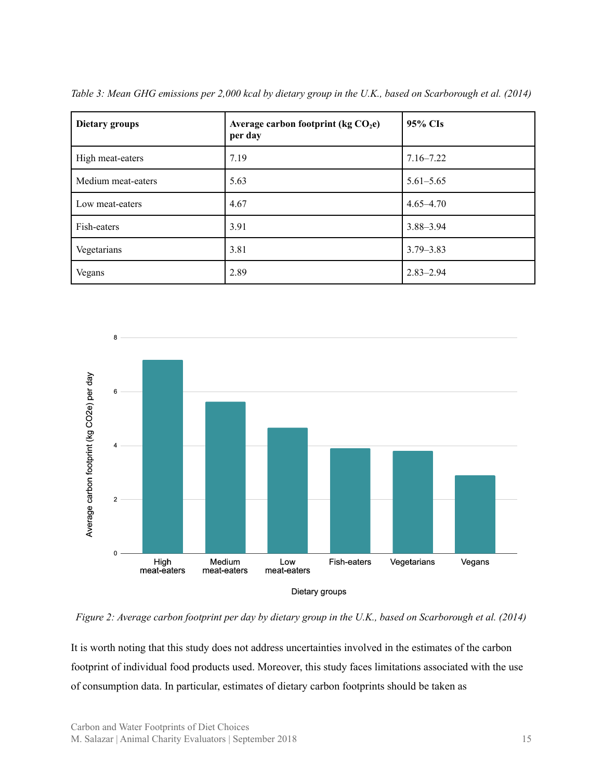| <b>Dietary groups</b> | Average carbon footprint ( $kg CO2e$ )<br>per day | 95% CIs       |
|-----------------------|---------------------------------------------------|---------------|
| High meat-eaters      | 7.19                                              | $7.16 - 7.22$ |
| Medium meat-eaters    | 5.63                                              | $5.61 - 5.65$ |
| Low meat-eaters       | 4.67                                              | $4.65 - 4.70$ |
| Fish-eaters           | 3.91                                              | $3.88 - 3.94$ |
| Vegetarians           | 3.81                                              | $3.79 - 3.83$ |
| Vegans                | 2.89                                              | $2.83 - 2.94$ |

*Table 3: Mean GHG emissions per 2,000 kcal by dietary group in the U.K., based on Scarborough et al. (2014)*



*Figure 2: Average carbon footprint per day by dietary group in the U.K., based on Scarborough et al. (2014)*

It is worth noting that this study does not address uncertainties involved in the estimates of the carbon footprint of individual food products used. Moreover, this study faces limitations associated with the use of consumption data. In particular, estimates of dietary carbon footprints should be taken as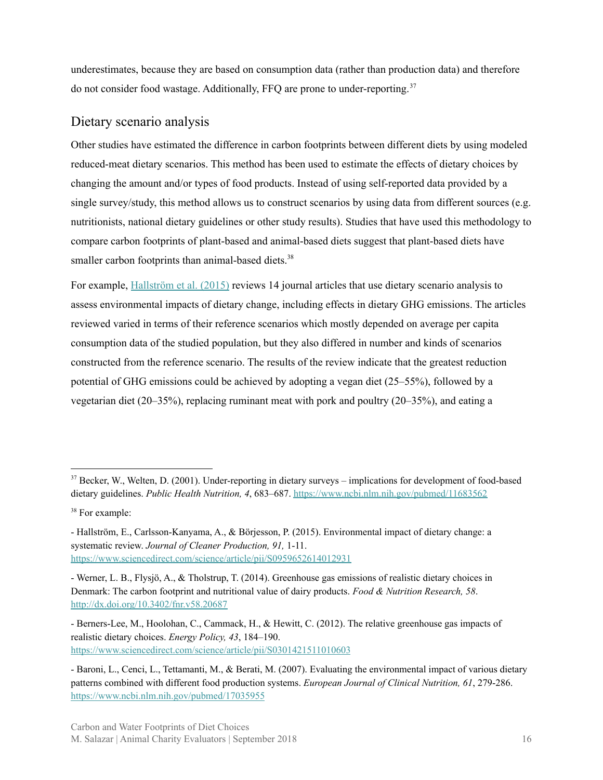underestimates, because they are based on consumption data (rather than production data) and therefore do not consider food wastage. Additionally, FFQ are prone to under-reporting. 37

#### <span id="page-15-0"></span>Dietary scenario analysis

Other studies have estimated the difference in carbon footprints between different diets by using modeled reduced-meat dietary scenarios. This method has been used to estimate the effects of dietary choices by changing the amount and/or types of food products. Instead of using self-reported data provided by a single survey/study, this method allows us to construct scenarios by using data from different sources (e.g. nutritionists, national dietary guidelines or other study results). Studies that have used this methodology to compare carbon footprints of plant-based and animal-based diets suggest that plant-based diets have smaller carbon footprints than animal-based diets.<sup>38</sup>

For example, [Hallström](https://www.sciencedirect.com/science/article/pii/S0959652614012931) et al. (2015) reviews 14 journal articles that use dietary scenario analysis to assess environmental impacts of dietary change, including effects in dietary GHG emissions. The articles reviewed varied in terms of their reference scenarios which mostly depended on average per capita consumption data of the studied population, but they also differed in number and kinds of scenarios constructed from the reference scenario. The results of the review indicate that the greatest reduction potential of GHG emissions could be achieved by adopting a vegan diet (25–55%), followed by a vegetarian diet (20–35%), replacing ruminant meat with pork and poultry (20–35%), and eating a

<sup>&</sup>lt;sup>37</sup> Becker, W., Welten, D. (2001). Under-reporting in dietary surveys – implications for development of food-based dietary guidelines. *Public Health Nutrition, 4*, 683–687. <https://www.ncbi.nlm.nih.gov/pubmed/11683562>

<sup>&</sup>lt;sup>38</sup> For example:

<sup>-</sup> Hallström, E., Carlsson-Kanyama, A., & Börjesson, P. (2015). Environmental impact of dietary change: a systematic review. *Journal of Cleaner Production, 91,* 1-11. <https://www.sciencedirect.com/science/article/pii/S0959652614012931>

<sup>-</sup> Werner, L. B., Flysjö, A., & Tholstrup, T. (2014). Greenhouse gas emissions of realistic dietary choices in Denmark: The carbon footprint and nutritional value of dairy products. *Food & Nutrition Research, 58*. <http://dx.doi.org/10.3402/fnr.v58.20687>

<sup>-</sup> Berners-Lee, M., Hoolohan, C., Cammack, H., & Hewitt, C. (2012). The relative greenhouse gas impacts of realistic dietary choices. *Energy Policy, 43*, 184–190. <https://www.sciencedirect.com/science/article/pii/S0301421511010603>

<sup>-</sup> Baroni, L., Cenci, L., Tettamanti, M., & Berati, M. (2007). Evaluating the environmental impact of various dietary patterns combined with different food production systems. *European Journal of Clinical Nutrition, 61*, 279-286. <https://www.ncbi.nlm.nih.gov/pubmed/17035955>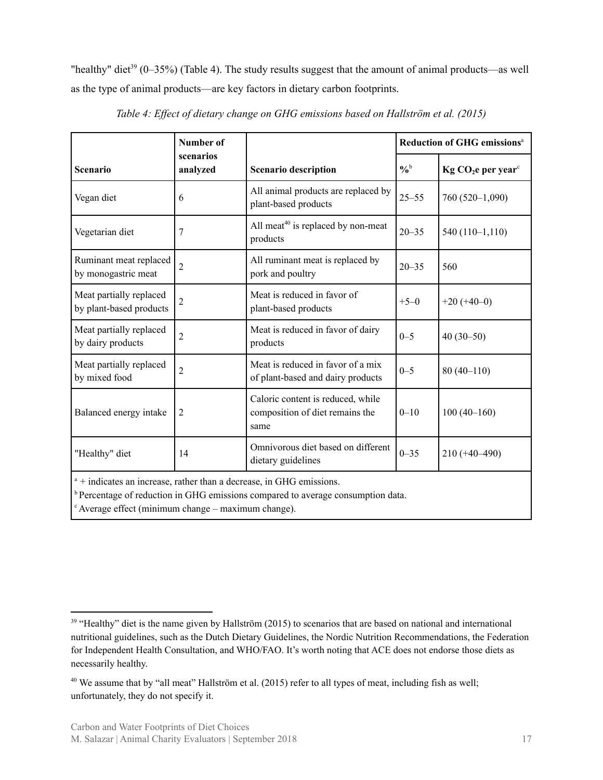"healthy" diet<sup>39</sup> (0–35%) (Table 4). The study results suggest that the amount of animal products—as well as the type of animal products—are key factors in dietary carbon footprints.

|                                                    | <b>Number of</b>                                                                                                                                                 |                                                                              |               | <b>Reduction of GHG emissions<sup>a</sup></b> |  |  |  |
|----------------------------------------------------|------------------------------------------------------------------------------------------------------------------------------------------------------------------|------------------------------------------------------------------------------|---------------|-----------------------------------------------|--|--|--|
| <b>Scenario</b>                                    | scenarios<br>analyzed                                                                                                                                            | <b>Scenario description</b>                                                  | $\frac{0}{6}$ | $Kg CO2e per yearc$                           |  |  |  |
| Vegan diet                                         | 6                                                                                                                                                                | All animal products are replaced by<br>plant-based products                  | $25 - 55$     | 760 (520-1,090)                               |  |  |  |
| Vegetarian diet                                    | 7                                                                                                                                                                | All meat <sup>40</sup> is replaced by non-meat<br>products                   | $20 - 35$     | $540(110-1,110)$                              |  |  |  |
| Ruminant meat replaced<br>by monogastric meat      | $\overline{c}$                                                                                                                                                   | All ruminant meat is replaced by<br>pork and poultry                         | $20 - 35$     | 560                                           |  |  |  |
| Meat partially replaced<br>by plant-based products | $\overline{c}$                                                                                                                                                   | Meat is reduced in favor of<br>plant-based products                          | $+5-0$        | $+20 (+40-0)$                                 |  |  |  |
| Meat partially replaced<br>by dairy products       | $\overline{2}$                                                                                                                                                   | Meat is reduced in favor of dairy<br>products                                | $0 - 5$       | $40(30-50)$                                   |  |  |  |
| Meat partially replaced<br>by mixed food           | $\overline{2}$                                                                                                                                                   | Meat is reduced in favor of a mix<br>of plant-based and dairy products       | $0 - 5$       | $80(40-110)$                                  |  |  |  |
| Balanced energy intake                             | $\overline{2}$                                                                                                                                                   | Caloric content is reduced, while<br>composition of diet remains the<br>same | $0 - 10$      | $100(40-160)$                                 |  |  |  |
| "Healthy" diet                                     | 14                                                                                                                                                               | Omnivorous diet based on different<br>dietary guidelines                     | $0 - 35$      | $210 (+40 - 490)$                             |  |  |  |
|                                                    | $a +$ indicates an increase, rather than a decrease, in GHG emissions.<br>$^{\rm b}$ Decentros of reduction in GHC emissions compared to system consumption data |                                                                              |               |                                               |  |  |  |

*Table 4: Ef ect of dietary change on GHG emissions based on Hallström et al. (2015)*

<sup>b</sup> Percentage of reduction in GHG emissions compared to average consumption data.

 $c$  Average effect (minimum change – maximum change).

<sup>&</sup>lt;sup>39</sup> "Healthy" diet is the name given by Hallström (2015) to scenarios that are based on national and international nutritional guidelines, such as the Dutch Dietary Guidelines, the Nordic Nutrition Recommendations, the Federation for Independent Health Consultation, and WHO/FAO. It's worth noting that ACE does not endorse those diets as necessarily healthy.

<sup>&</sup>lt;sup>40</sup> We assume that by "all meat" Hallström et al. (2015) refer to all types of meat, including fish as well; unfortunately, they do not specify it.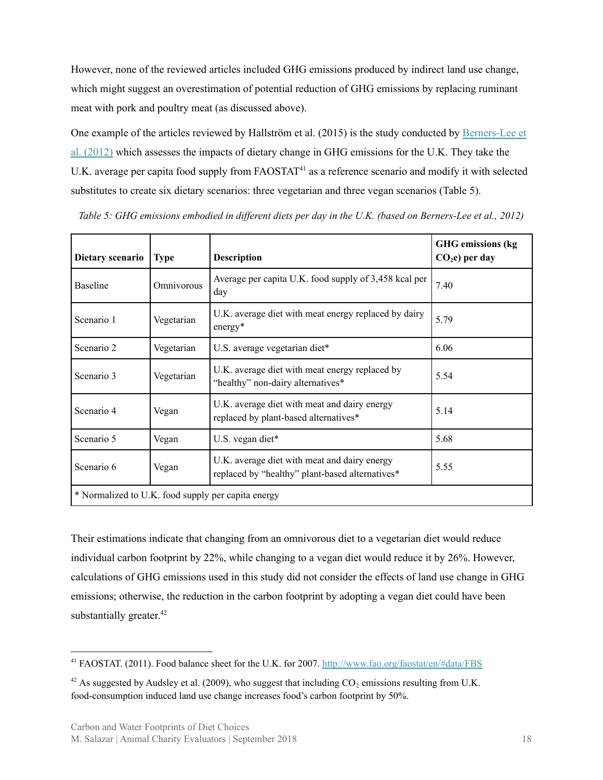However, none of the reviewed articles included GHG emissions produced by indirect land use change, which might suggest an overestimation of potential reduction of GHG emissions by replacing ruminant meat with pork and poultry meat (as discussed above).

One example of the articles reviewed by Hallström et al. (2015) is the study conducted by [Berners-Lee](https://www.sciencedirect.com/science/article/pii/S0301421511010603) et al. [\(2012\)](https://www.sciencedirect.com/science/article/pii/S0301421511010603) which assesses the impacts of dietary change in GHG emissions for the U.K. They take the U.K. average per capita food supply from FAOSTAT<sup>41</sup> as a reference scenario and modify it with selected substitutes to create six dietary scenarios: three vegetarian and three vegan scenarios (Table 5).

| Dietary scenario                                   | <b>Type</b> | <b>Description</b>                                                                              | <b>GHG</b> emissions (kg<br>$CO2e$ ) per day |
|----------------------------------------------------|-------------|-------------------------------------------------------------------------------------------------|----------------------------------------------|
| <b>Baseline</b>                                    | Omnivorous  | Average per capita U.K. food supply of 3,458 kcal per<br>day                                    | 7.40                                         |
| Scenario 1                                         | Vegetarian  | U.K. average diet with meat energy replaced by dairy<br>$energy*$                               | 5.79                                         |
| Scenario 2                                         | Vegetarian  | U.S. average vegetarian diet*                                                                   | 6.06                                         |
| Scenario 3                                         | Vegetarian  | U.K. average diet with meat energy replaced by<br>"healthy" non-dairy alternatives*             | 5.54                                         |
| Scenario 4                                         | Vegan       | U.K. average diet with meat and dairy energy<br>replaced by plant-based alternatives*           | 5.14                                         |
| Scenario 5                                         | Vegan       | U.S. vegan diet $*$                                                                             | 5.68                                         |
| Scenario 6                                         | Vegan       | U.K. average diet with meat and dairy energy<br>replaced by "healthy" plant-based alternatives* | 5.55                                         |
| * Normalized to U.K. food supply per capita energy |             |                                                                                                 |                                              |

*Table 5: GHG emissions embodied in different diets per day in the U.K. (based on Berners-Lee et al., 2012)*

Their estimations indicate that changing from an omnivorous diet to a vegetarian diet would reduce individual carbon footprint by 22%, while changing to a vegan diet would reduce it by 26%. However, calculations of GHG emissions used in this study did not consider the effects of land use change in GHG emissions; otherwise, the reduction in the carbon footprint by adopting a vegan diet could have been substantially greater.<sup>42</sup>

<sup>41</sup> FAOSTAT. (2011). Food balance sheet for the U.K. for 2007. <http://www.fao.org/faostat/en/#data/FBS>

 $42$  As suggested by Audsley et al. (2009), who suggest that including  $CO_2$  emissions resulting from U.K. food-consumption induced land use change increases food's carbon footprint by 50%.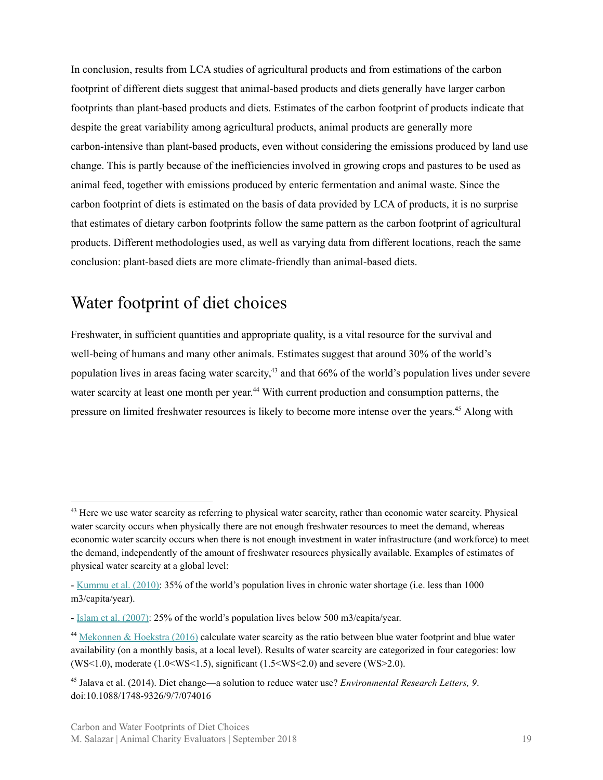In conclusion, results from LCA studies of agricultural products and from estimations of the carbon footprint of different diets suggest that animal-based products and diets generally have larger carbon footprints than plant-based products and diets. Estimates of the carbon footprint of products indicate that despite the great variability among agricultural products, animal products are generally more carbon-intensive than plant-based products, even without considering the emissions produced by land use change. This is partly because of the inefficiencies involved in growing crops and pastures to be used as animal feed, together with emissions produced by enteric fermentation and animal waste. Since the carbon footprint of diets is estimated on the basis of data provided by LCA of products, it is no surprise that estimates of dietary carbon footprints follow the same pattern as the carbon footprint of agricultural products. Different methodologies used, as well as varying data from different locations, reach the same conclusion: plant-based diets are more climate-friendly than animal-based diets.

### <span id="page-18-0"></span>Water footprint of diet choices

Freshwater, in sufficient quantities and appropriate quality, is a vital resource for the survival and well-being of humans and many other animals. Estimates suggest that around 30% of the world's population lives in areas facing water scarcity,<sup>43</sup> and that 66% of the world's population lives under severe water scarcity at least one month per year.<sup>44</sup> With current production and consumption patterns, the pressure on limited freshwater resources is likely to become more intense over the years.<sup>45</sup> Along with

<sup>&</sup>lt;sup>43</sup> Here we use water scarcity as referring to physical water scarcity, rather than economic water scarcity. Physical water scarcity occurs when physically there are not enough freshwater resources to meet the demand, whereas economic water scarcity occurs when there is not enough investment in water infrastructure (and workforce) to meet the demand, independently of the amount of freshwater resources physically available. Examples of estimates of physical water scarcity at a global level:

<sup>-</sup> [Kummu](http://iopscience.iop.org/article/10.1088/1748-9326/5/3/034006/meta) et al. (2010): 35% of the world's population lives in chronic water shortage (i.e. less than 1000 m3/capita/year).

<sup>-</sup> Islam et al. [\(2007\)](https://link.springer.com/article/10.1007/s11269-006-9038-y): 25% of the world's population lives below 500 m3/capita/year.

<sup>44</sup> [Mekonnen](http://advances.sciencemag.org/content/2/2/e1500323) & Hoekstra (2016) calculate water scarcity as the ratio between blue water footprint and blue water availability (on a monthly basis, at a local level). Results of water scarcity are categorized in four categories: low (WS<1.0), moderate  $(1.0 \le WS \le 1.5)$ , significant  $(1.5 \le WS \le 2.0)$  and severe (WS $>2.0$ ).

<sup>45</sup> Jalava et al. (2014). Diet change—a solution to reduce water use? *Environmental Research Letters, 9*. doi:10.1088/1748-9326/9/7/074016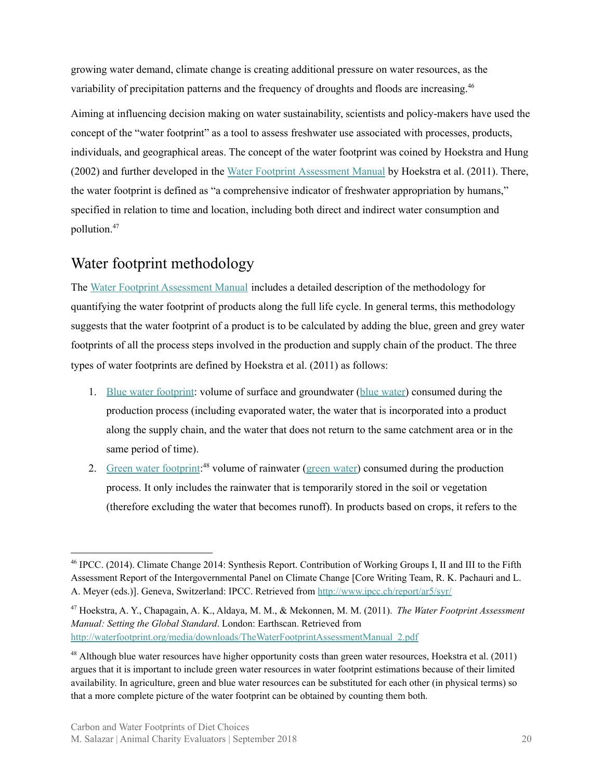growing water demand, climate change is creating additional pressure on water resources, as the variability of precipitation patterns and the frequency of droughts and floods are increasing.<sup>46</sup>

Aiming at influencing decision making on water sustainability, scientists and policy-makers have used the concept of the "water footprint" as a tool to assess freshwater use associated with processes, products, individuals, and geographical areas. The concept of the water footprint was coined by Hoekstra and Hung (2002) and further developed in the Water Footprint [Assessment](http://waterfootprint.org/media/downloads/TheWaterFootprintAssessmentManual_2.pdf) Manual by Hoekstra et al. (2011). There, the water footprint is defined as "a comprehensive indicator of freshwater appropriation by humans," specified in relation to time and location, including both direct and indirect water consumption and pollution. 47

#### <span id="page-19-0"></span>Water footprint methodology

The Water Footprint [Assessment](http://waterfootprint.org/media/downloads/TheWaterFootprintAssessmentManual_2.pdf) Manual includes a detailed description of the methodology for quantifying the water footprint of products along the full life cycle. In general terms, this methodology suggests that the water footprint of a product is to be calculated by adding the blue, green and grey water footprints of all the process steps involved in the production and supply chain of the product. The three types of water footprints are defined by Hoekstra et al. (2011) as follows:

- 1. Blue water [footprint](http://waterfootprint.org/en/water-footprint/glossary/#BWF): volume of surface and groundwater (blue [water\)](http://waterfootprint.org/en/water-footprint/glossary/#BW) consumed during the production process (including evaporated water, the water that is incorporated into a product along the supply chain, and the water that does not return to the same catchment area or in the same period of time).
- 2. Green water [footprint](http://waterfootprint.org/en/water-footprint/glossary/#GWF):<sup>48</sup> volume of rainwater (green [water\)](http://waterfootprint.org/en/water-footprint/glossary/#GW) consumed during the production process. It only includes the rainwater that is temporarily stored in the soil or vegetation (therefore excluding the water that becomes runoff). In products based on crops, it refers to the

<sup>46</sup> IPCC. (2014). Climate Change 2014: Synthesis Report. Contribution of Working Groups I, II and III to the Fifth Assessment Report of the Intergovernmental Panel on Climate Change [Core Writing Team, R. K. Pachauri and L. A. Meyer (eds.)]. Geneva, Switzerland: IPCC. Retrieved from <http://www.ipcc.ch/report/ar5/syr/>

<sup>47</sup> Hoekstra, A. Y., Chapagain, A. K., Aldaya, M. M., & Mekonnen, M. M. (2011). *The Water Footprint Assessment Manual: Setting the Global Standard*. London: Earthscan. Retrieved from [http://waterfootprint.org/media/downloads/TheWaterFootprintAssessmentManual\\_2.pdf](http://waterfootprint.org/media/downloads/TheWaterFootprintAssessmentManual_2.pdf)

<sup>&</sup>lt;sup>48</sup> Although blue water resources have higher opportunity costs than green water resources, Hoekstra et al. (2011) argues that it is important to include green water resources in water footprint estimations because of their limited availability. In agriculture, green and blue water resources can be substituted for each other (in physical terms) so that a more complete picture of the water footprint can be obtained by counting them both.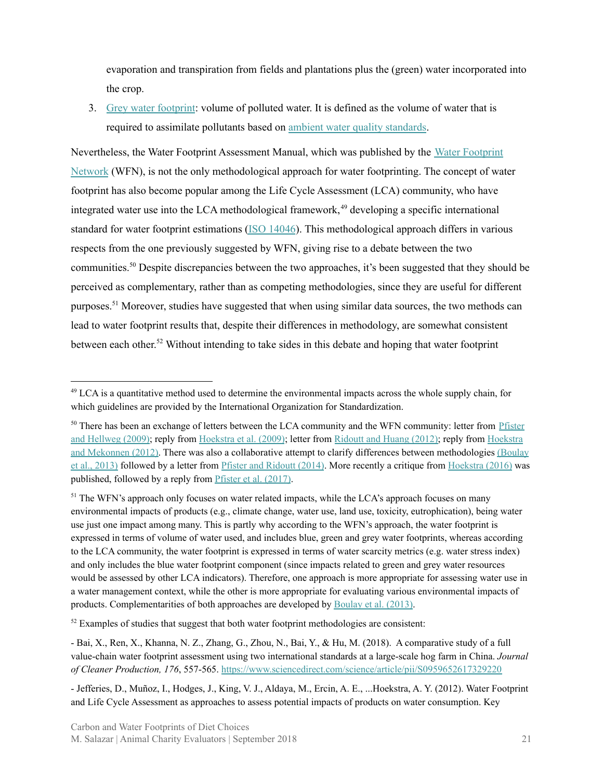evaporation and transpiration from fields and plantations plus the (green) water incorporated into the crop.

3. Grey water [footprint](http://waterfootprint.org/en/water-footprint/glossary/#GrWF): volume of polluted water. It is defined as the volume of water that is required to assimilate pollutants based on ambient water quality [standards](http://waterfootprint.org/en/water-footprint/glossary/#AWQS).

Nevertheless, the Water Footprint Assessment Manual, which was published by the Water [Footprint](http://waterfootprint.org/en/) [Network](http://waterfootprint.org/en/) (WFN), is not the only methodological approach for water footprinting. The concept of water footprint has also become popular among the Life Cycle Assessment (LCA) community, who have integrated water use into the LCA methodological framework,<sup>49</sup> developing a specific international standard for water footprint estimations (ISO [14046](https://www.iso.org/standard/43263.html)). This methodological approach differs in various respects from the one previously suggested by WFN, giving rise to a debate between the two communities.<sup>50</sup> Despite discrepancies between the two approaches, it's been suggested that they should be perceived as complementary, rather than as competing methodologies, since they are useful for different purposes.<sup>51</sup> Moreover, studies have suggested that when using similar data sources, the two methods can lead to water footprint results that, despite their differences in methodology, are somewhat consistent between each other.<sup>52</sup> Without intending to take sides in this debate and hoping that water footprint

<sup>&</sup>lt;sup>49</sup> LCA is a quantitative method used to determine the environmental impacts across the whole supply chain, for which guidelines are provided by the International Organization for Standardization.

<sup>&</sup>lt;sup>50</sup> There has been an exchange of letters between the LCA community and the WFN community: letter from [Pfister](http://www.pnas.org/content/pnas/106/35/E93.full.pdf) and [Hellweg](http://www.pnas.org/content/pnas/106/35/E93.full.pdf) (2009); reply from [Hoekstra](http://www.pnas.org/content/pnas/106/40/E114.full.pdf) et al. (2009); letter from [Ridoutt](https://www.ncbi.nlm.nih.gov/pmc/articles/PMC3365216/pdf/pnas.201203809.pdf) and Huang (2012); reply from [Hoekstra](http://www.pnas.org/content/pnas/109/22/E1425.full.pdf) and [Mekonnen](http://www.pnas.org/content/pnas/109/22/E1425.full.pdf) (2012). There was also a collaborative attempt to clarify differences between methodologies [\(Boulay](https://pubs.acs.org/doi/10.1021/es403928f) et al., [2013\)](https://pubs.acs.org/doi/10.1021/es403928f) followed by a letter from Pfister and [Ridoutt](https://pubs.acs.org/doi/10.1021/es405340a) (2014). More recently a critique from [Hoekstra](https://www.sciencedirect.com/science/article/pii/S1470160X16300474) (2016) was published, followed by a reply from Pfister et al. [\(2017\)](https://www.sciencedirect.com/science/article/pii/S1470160X16304599).

<sup>&</sup>lt;sup>51</sup> The WFN's approach only focuses on water related impacts, while the LCA's approach focuses on many environmental impacts of products (e.g., climate change, water use, land use, toxicity, eutrophication), being water use just one impact among many. This is partly why according to the WFN's approach, the water footprint is expressed in terms of volume of water used, and includes blue, green and grey water footprints, whereas according to the LCA community, the water footprint is expressed in terms of water scarcity metrics (e.g. water stress index) and only includes the blue water footprint component (since impacts related to green and grey water resources would be assessed by other LCA indicators). Therefore, one approach is more appropriate for assessing water use in a water management context, while the other is more appropriate for evaluating various environmental impacts of products. Complementarities of both approaches are developed by [Boulay](https://pubs.acs.org/doi/10.1021/es403928f) et al. (2013).

 $52$  Examples of studies that suggest that both water footprint methodologies are consistent:

<sup>-</sup> Bai, X., Ren, X., Khanna, N. Z., Zhang, G., Zhou, N., Bai, Y., & Hu, M. (2018). A comparative study of a full value-chain water footprint assessment using two international standards at a large-scale hog farm in China. *Journal of Cleaner Production, 176*, 557-565. <https://www.sciencedirect.com/science/article/pii/S0959652617329220>

<sup>-</sup> Jefferies, D., Muñoz, I., Hodges, J., King, V. J., Aldaya, M., Ercin, A. E., ...Hoekstra, A. Y. (2012). Water Footprint and Life Cycle Assessment as approaches to assess potential impacts of products on water consumption. Key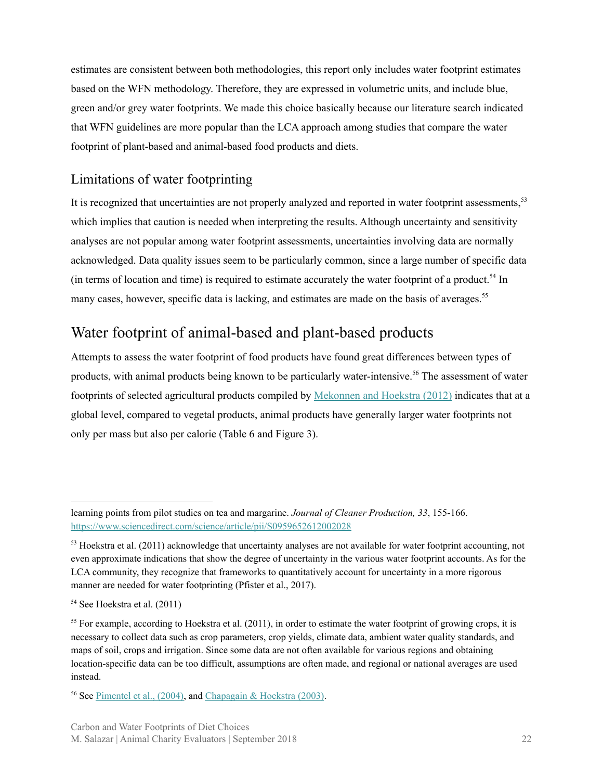estimates are consistent between both methodologies, this report only includes water footprint estimates based on the WFN methodology. Therefore, they are expressed in volumetric units, and include blue, green and/or grey water footprints. We made this choice basically because our literature search indicated that WFN guidelines are more popular than the LCA approach among studies that compare the water footprint of plant-based and animal-based food products and diets.

#### <span id="page-21-0"></span>Limitations of water footprinting

It is recognized that uncertainties are not properly analyzed and reported in water footprint assessments,<sup>53</sup> which implies that caution is needed when interpreting the results. Although uncertainty and sensitivity analyses are not popular among water footprint assessments, uncertainties involving data are normally acknowledged. Data quality issues seem to be particularly common, since a large number of specific data (in terms of location and time) is required to estimate accurately the water footprint of a product.<sup>54</sup> In many cases, however, specific data is lacking, and estimates are made on the basis of averages.<sup>55</sup>

#### <span id="page-21-1"></span>Water footprint of animal-based and plant-based products

Attempts to assess the water footprint of food products have found great differences between types of products, with animal products being known to be particularly water-intensive.<sup>56</sup> The assessment of water footprints of selected agricultural products compiled by [Mekonnen](https://link.springer.com/article/10.1007%2Fs10021-011-9517-8) and Hoekstra (2012) indicates that at a global level, compared to vegetal products, animal products have generally larger water footprints not only per mass but also per calorie (Table 6 and Figure 3).

<sup>56</sup> See [Pimentel](https://academic.oup.com/bioscience/article/54/10/909/230205) et al., (2004), and [Chapagain](http://www.ayhoekstra.nl/pubs/Report13.pdf) & Hoekstra (2003).

learning points from pilot studies on tea and margarine. *Journal of Cleaner Production, 33*, 155-166. <https://www.sciencedirect.com/science/article/pii/S0959652612002028>

 $53$  Hoekstra et al. (2011) acknowledge that uncertainty analyses are not available for water footprint accounting, not even approximate indications that show the degree of uncertainty in the various water footprint accounts. As for the LCA community, they recognize that frameworks to quantitatively account for uncertainty in a more rigorous manner are needed for water footprinting (Pfister et al., 2017).

<sup>54</sup> See Hoekstra et al. (2011)

<sup>&</sup>lt;sup>55</sup> For example, according to Hoekstra et al. (2011), in order to estimate the water footprint of growing crops, it is necessary to collect data such as crop parameters, crop yields, climate data, ambient water quality standards, and maps of soil, crops and irrigation. Since some data are not often available for various regions and obtaining location-specific data can be too difficult, assumptions are often made, and regional or national averages are used instead.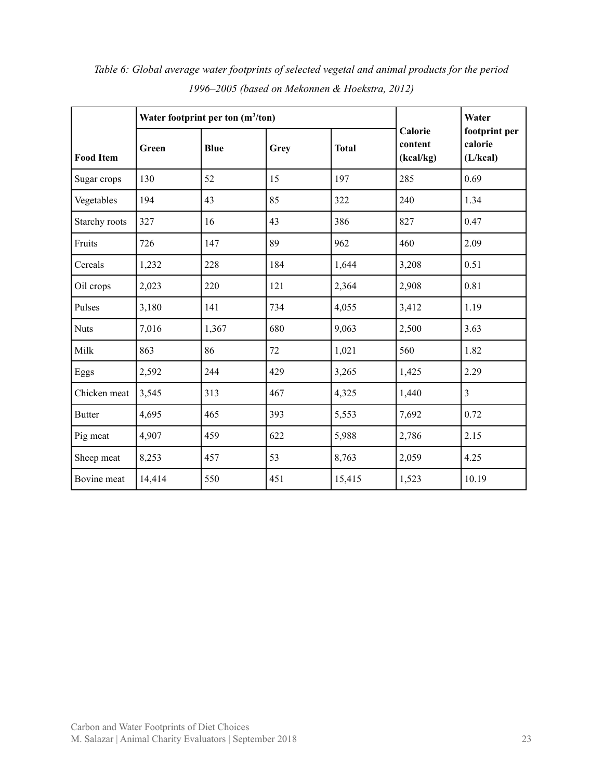|                  |        | Water footprint per ton $(m^3/ton)$ |      | Water        |                                 |                                      |
|------------------|--------|-------------------------------------|------|--------------|---------------------------------|--------------------------------------|
| <b>Food Item</b> | Green  | <b>Blue</b>                         | Grey | <b>Total</b> | Calorie<br>content<br>(kcal/kg) | footprint per<br>calorie<br>(L/kcal) |
| Sugar crops      | 130    | 52                                  | 15   | 197          | 285                             | 0.69                                 |
| Vegetables       | 194    | 43                                  | 85   | 322          | 240                             | 1.34                                 |
| Starchy roots    | 327    | 16                                  | 43   | 386          | 827                             | 0.47                                 |
| Fruits           | 726    | 147                                 | 89   | 962          | 460                             | 2.09                                 |
| Cereals          | 1,232  | 228                                 | 184  | 1,644        | 3,208                           | 0.51                                 |
| Oil crops        | 2,023  | 220                                 | 121  | 2,364        | 2,908                           | 0.81                                 |
| Pulses           | 3,180  | 141                                 | 734  | 4,055        | 3,412                           | 1.19                                 |
| <b>Nuts</b>      | 7,016  | 1,367                               | 680  | 9,063        | 2,500                           | 3.63                                 |
| Milk             | 863    | 86                                  | 72   | 1,021        | 560                             | 1.82                                 |
| Eggs             | 2,592  | 244                                 | 429  | 3,265        | 1,425                           | 2.29                                 |
| Chicken meat     | 3,545  | 313                                 | 467  | 4,325        | 1,440                           | $\overline{3}$                       |
| <b>Butter</b>    | 4,695  | 465                                 | 393  | 5,553        | 7,692                           | 0.72                                 |
| Pig meat         | 4,907  | 459                                 | 622  | 5,988        | 2,786                           | 2.15                                 |
| Sheep meat       | 8,253  | 457                                 | 53   | 8,763        | 2,059                           | 4.25                                 |
| Bovine meat      | 14,414 | 550                                 | 451  | 15,415       | 1,523                           | 10.19                                |

*Table 6: Global average water footprints of selected vegetal and animal products for the period 1996–2005 (based on Mekonnen & Hoekstra, 2012)*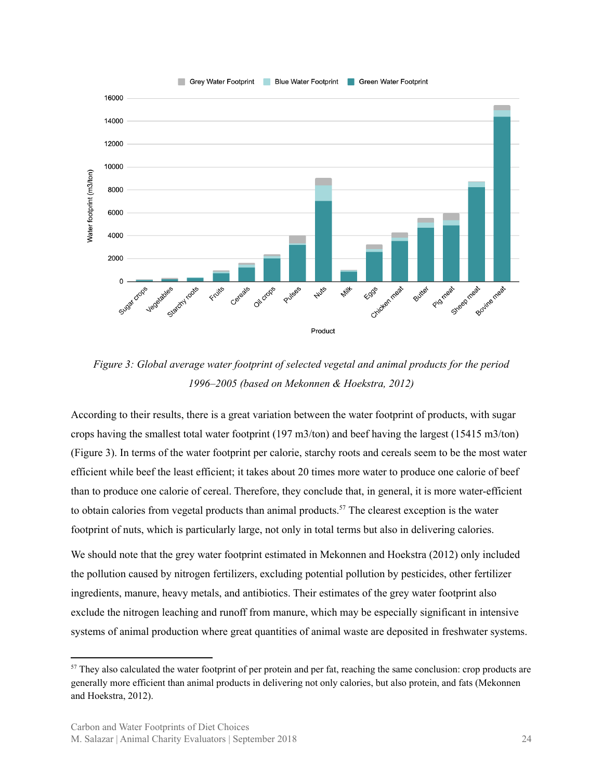

*Figure 3: Global average water footprint of selected vegetal and animal products for the period 1996–2005 (based on Mekonnen & Hoekstra, 2012)*

According to their results, there is a great variation between the water footprint of products, with sugar crops having the smallest total water footprint (197 m3/ton) and beef having the largest (15415 m3/ton) (Figure 3). In terms of the water footprint per calorie, starchy roots and cereals seem to be the most water efficient while beef the least efficient; it takes about 20 times more water to produce one calorie of beef than to produce one calorie of cereal. Therefore, they conclude that, in general, it is more water-efficient to obtain calories from vegetal products than animal products.<sup>57</sup> The clearest exception is the water footprint of nuts, which is particularly large, not only in total terms but also in delivering calories.

We should note that the grey water footprint estimated in Mekonnen and Hoekstra (2012) only included the pollution caused by nitrogen fertilizers, excluding potential pollution by pesticides, other fertilizer ingredients, manure, heavy metals, and antibiotics. Their estimates of the grey water footprint also exclude the nitrogen leaching and runoff from manure, which may be especially significant in intensive systems of animal production where great quantities of animal waste are deposited in freshwater systems.

 $57$  They also calculated the water footprint of per protein and per fat, reaching the same conclusion: crop products are generally more efficient than animal products in delivering not only calories, but also protein, and fats (Mekonnen and Hoekstra, 2012).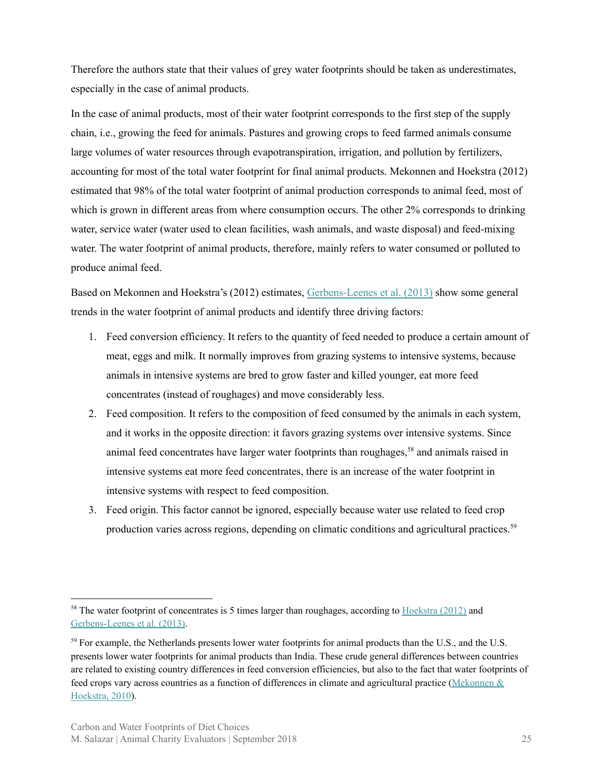Therefore the authors state that their values of grey water footprints should be taken as underestimates, especially in the case of animal products.

In the case of animal products, most of their water footprint corresponds to the first step of the supply chain, i.e., growing the feed for animals. Pastures and growing crops to feed farmed animals consume large volumes of water resources through evapotranspiration, irrigation, and pollution by fertilizers, accounting for most of the total water footprint for final animal products. Mekonnen and Hoekstra (2012) estimated that 98% of the total water footprint of animal production corresponds to animal feed, most of which is grown in different areas from where consumption occurs. The other 2% corresponds to drinking water, service water (water used to clean facilities, wash animals, and waste disposal) and feed-mixing water. The water footprint of animal products, therefore, mainly refers to water consumed or polluted to produce animal feed.

Based on Mekonnen and Hoekstra's (2012) estimates, [Gerbens-Leenes](https://www.sciencedirect.com/science/article/pii/S2212371713000024) et al. (2013) show some general trends in the water footprint of animal products and identify three driving factors:

- 1. Feed conversion efficiency. It refers to the quantity of feed needed to produce a certain amount of meat, eggs and milk. It normally improves from grazing systems to intensive systems, because animals in intensive systems are bred to grow faster and killed younger, eat more feed concentrates (instead of roughages) and move considerably less.
- 2. Feed composition. It refers to the composition of feed consumed by the animals in each system, and it works in the opposite direction: it favors grazing systems over intensive systems. Since animal feed concentrates have larger water footprints than roughages,<sup>58</sup> and animals raised in intensive systems eat more feed concentrates, there is an increase of the water footprint in intensive systems with respect to feed composition.
- 3. Feed origin. This factor cannot be ignored, especially because water use related to feed crop production varies across regions, depending on climatic conditions and agricultural practices.<sup>59</sup>

<sup>&</sup>lt;sup>58</sup> The water footprint of concentrates is 5 times larger than roughages, according to [Hoekstra](http://waterfootprint.org/media/downloads/Hoekstra-2012-Water-Meat-Dairy.pdf)  $(2012)$  and [Gerbens-Leenes](http://waterfootprint.org/media/downloads/Gerbens-et-al-2013-waterfootprint-poultry-pork-beef_1.pdf) et al. (2013).

<sup>&</sup>lt;sup>59</sup> For example, the Netherlands presents lower water footprints for animal products than the U.S., and the U.S. presents lower water footprints for animal products than India. These crude general differences between countries are related to existing country differences in feed conversion efficiencies, but also to the fact that water footprints of feed crops vary across countries as a function of differences in climate and agricultural practice ([Mekonnen](http://waterfootprint.org/media/downloads/Report-48-WaterFootprint-AnimalProducts-Vol1.pdf) & [Hoekstra,](http://waterfootprint.org/media/downloads/Report-48-WaterFootprint-AnimalProducts-Vol1.pdf) 2010).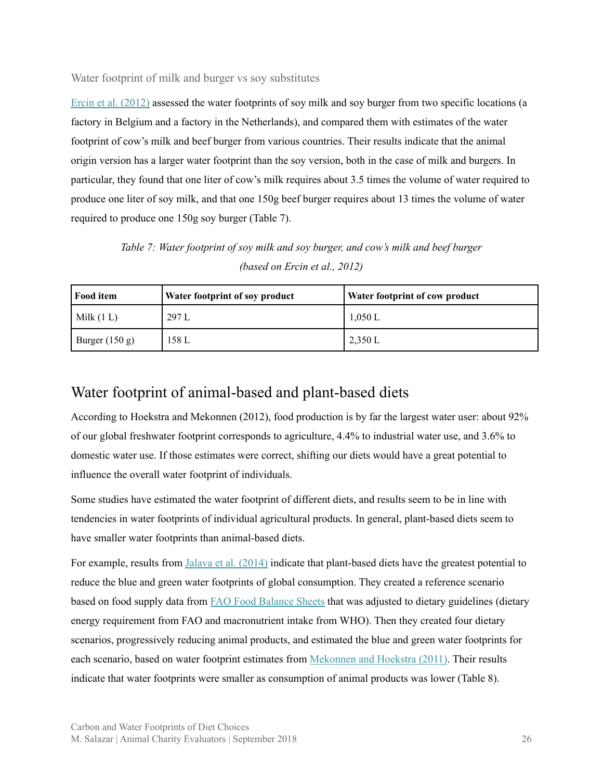<span id="page-25-0"></span>Water footprint of milk and burger vs soy substitutes

Ercin et al. [\(2012\)](http://waterfootprint.org/media/downloads/Ercin-et-al-2012-WaterFootprintSoy.pdf) assessed the water footprints of soy milk and soy burger from two specific locations (a factory in Belgium and a factory in the Netherlands), and compared them with estimates of the water footprint of cow's milk and beef burger from various countries. Their results indicate that the animal origin version has a larger water footprint than the soy version, both in the case of milk and burgers. In particular, they found that one liter of cow's milk requires about 3.5 times the volume of water required to produce one liter of soy milk, and that one 150g beef burger requires about 13 times the volume of water required to produce one 150g soy burger (Table 7).

*Table 7: Water footprint of soy milk and soy burger, and cow's milk and beef burger (based on Ercin et al., 2012)*

| <b>Food item</b> | Water footprint of soy product | Water footprint of cow product |
|------------------|--------------------------------|--------------------------------|
| Milk(1 L)        | 297 L                          | 1,050 L                        |
| Burger $(150 g)$ | 158 L                          | 2,350 L                        |

#### <span id="page-25-1"></span>Water footprint of animal-based and plant-based diets

According to Hoekstra and Mekonnen (2012), food production is by far the largest water user: about 92% of our global freshwater footprint corresponds to agriculture, 4.4% to industrial water use, and 3.6% to domestic water use. If those estimates were correct, shifting our diets would have a great potential to influence the overall water footprint of individuals.

Some studies have estimated the water footprint of different diets, and results seem to be in line with tendencies in water footprints of individual agricultural products. In general, plant-based diets seem to have smaller water footprints than animal-based diets.

For example, results from Jalava et al. [\(2014\)](http://iopscience.iop.org/article/10.1088/1748-9326/9/7/074016) indicate that plant-based diets have the greatest potential to reduce the blue and green water footprints of global consumption. They created a reference scenario based on food supply data from FAO Food [Balance](http://www.fao.org/faostat/en/#data/FBS) Sheets that was adjusted to dietary guidelines (dietary energy requirement from FAO and macronutrient intake from WHO). Then they created four dietary scenarios, progressively reducing animal products, and estimated the blue and green water footprints for each scenario, based on water footprint estimates from [Mekonnen](http://waterfootprint.org/media/downloads/Mekonnen-Hoekstra-2011-WaterFootprintCrops.pdf) and Hoekstra (2011). Their results indicate that water footprints were smaller as consumption of animal products was lower (Table 8).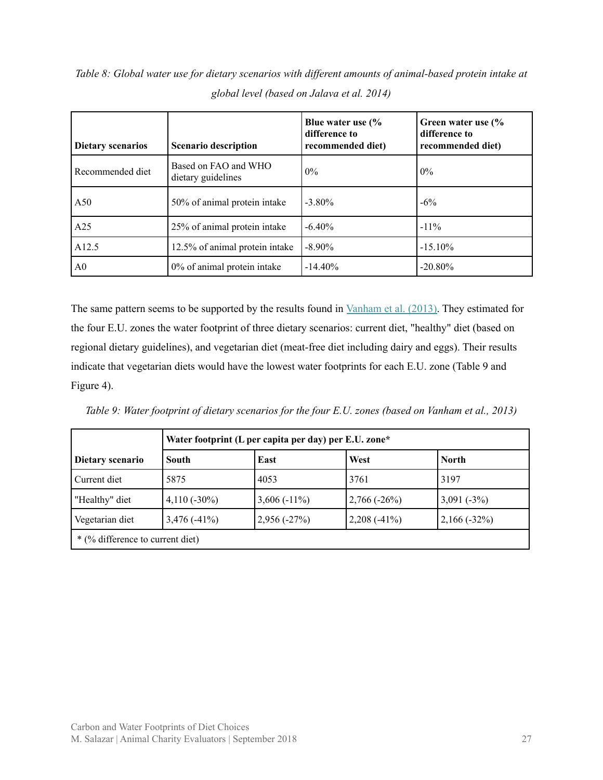*Table 8: Global water use for dietary scenarios with dif erent amounts of animal-based protein intake at global level (based on Jalava et al. 2014)*

| <b>Dietary scenarios</b> | <b>Scenario description</b>                | Blue water use (%<br>difference to<br>recommended diet) | Green water use (%<br>difference to<br>recommended diet) |
|--------------------------|--------------------------------------------|---------------------------------------------------------|----------------------------------------------------------|
| Recommended diet         | Based on FAO and WHO<br>dietary guidelines | $0\%$                                                   | $0\%$                                                    |
| A50                      | 50% of animal protein intake               | $-3.80\%$                                               | $-6\%$                                                   |
| A25                      | 25% of animal protein intake               | $-6.40%$                                                | $-11\%$                                                  |
| A12.5                    | 12.5% of animal protein intake             | $-8.90\%$                                               | $-15.10\%$                                               |
| A <sub>0</sub>           | 0% of animal protein intake                | $-14.40\%$                                              | $-20.80\%$                                               |

The same pattern seems to be supported by the results found in [Vanham](https://www.sciencedirect.com/science/article/pii/S0160412013002055) et al. (2013). They estimated for the four E.U. zones the water footprint of three dietary scenarios: current diet, "healthy" diet (based on regional dietary guidelines), and vegetarian diet (meat-free diet including dairy and eggs). Their results indicate that vegetarian diets would have the lowest water footprints for each E.U. zone (Table 9 and Figure 4).

Table 9: Water footprint of dietary scenarios for the four E.U. zones (based on Vanham et al., 2013)

|                                                                                      | Water footprint (L per capita per day) per E.U. zone* |                |               |              |  |  |
|--------------------------------------------------------------------------------------|-------------------------------------------------------|----------------|---------------|--------------|--|--|
| Dietary scenario                                                                     | South                                                 | East           | West          | <b>North</b> |  |  |
| Current diet                                                                         | 5875                                                  | 4053           | 3761          | 3197         |  |  |
| "Healthy" diet                                                                       | $4,110(-30\%)$                                        | $3,606(-11\%)$ | $2,766(-26%)$ | $3,091(-3%)$ |  |  |
| Vegetarian diet<br>$3,476(-41%)$<br>$2,208$ (-41%)<br>$2,166(-32%)$<br>$2,956(-27%)$ |                                                       |                |               |              |  |  |
| * (% difference to current diet)                                                     |                                                       |                |               |              |  |  |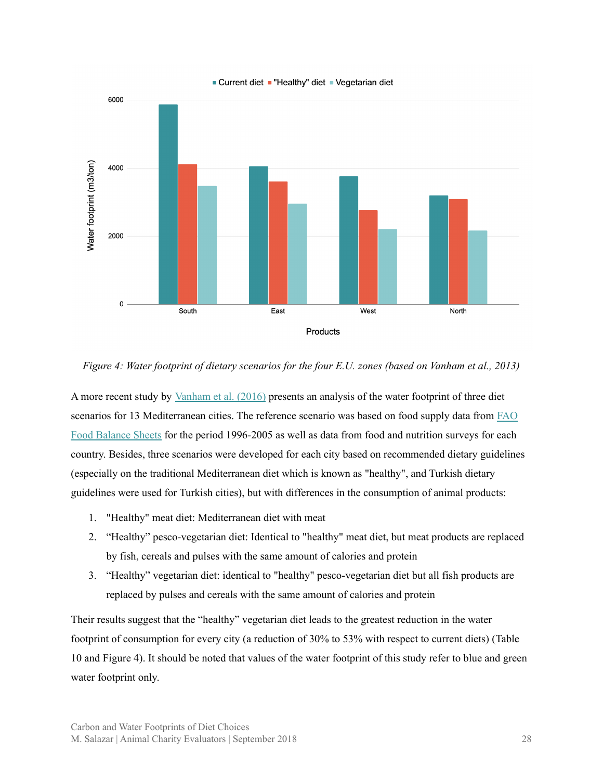

#### Current diet "Healthy" diet Vegetarian diet

Figure 4: Water footprint of dietary scenarios for the four E.U. zones (based on Vanham et al., 2013)

A more recent study by [Vanham](https://www.sciencedirect.com/science/article/pii/S004896971631806X) et al. (2016) presents an analysis of the water footprint of three diet scenarios for 13 Mediterranean cities. The reference scenario was based on food supply data from [FAO](http://www.fao.org/faostat/en/#data/FBS) Food [Balance](http://www.fao.org/faostat/en/#data/FBS) Sheets for the period 1996-2005 as well as data from food and nutrition surveys for each country. Besides, three scenarios were developed for each city based on recommended dietary guidelines (especially on the traditional Mediterranean diet which is known as "healthy", and Turkish dietary guidelines were used for Turkish cities), but with differences in the consumption of animal products:

- 1. "Healthy" meat diet: Mediterranean diet with meat
- 2. "Healthy" pesco-vegetarian diet: Identical to "healthy" meat diet, but meat products are replaced by fish, cereals and pulses with the same amount of calories and protein
- 3. "Healthy" vegetarian diet: identical to "healthy" pesco-vegetarian diet but all fish products are replaced by pulses and cereals with the same amount of calories and protein

Their results suggest that the "healthy" vegetarian diet leads to the greatest reduction in the water footprint of consumption for every city (a reduction of 30% to 53% with respect to current diets) (Table 10 and Figure 4). It should be noted that values of the water footprint of this study refer to blue and green water footprint only.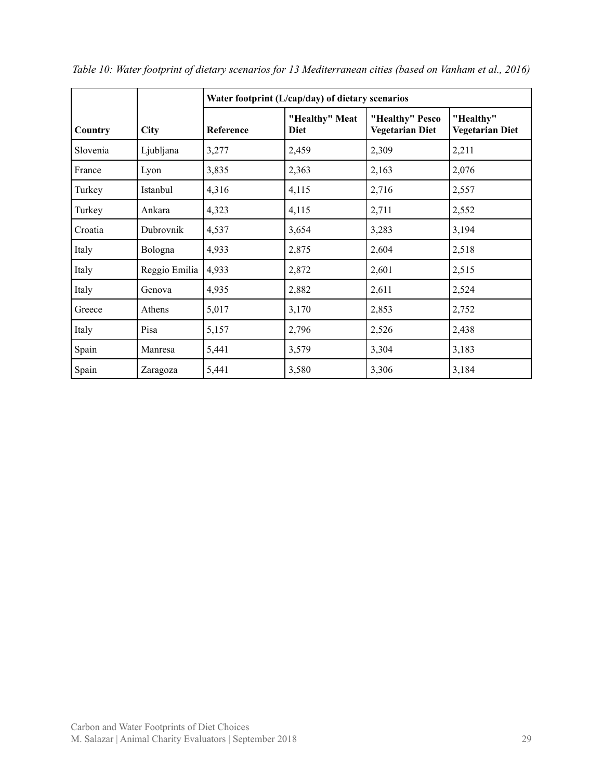|          |               | Water footprint (L/cap/day) of dietary scenarios |                               |                                           |                                     |  |  |
|----------|---------------|--------------------------------------------------|-------------------------------|-------------------------------------------|-------------------------------------|--|--|
| Country  | <b>City</b>   | Reference                                        | "Healthy" Meat<br><b>Diet</b> | "Healthy" Pesco<br><b>Vegetarian Diet</b> | "Healthy"<br><b>Vegetarian Diet</b> |  |  |
| Slovenia | Ljubljana     | 3,277                                            | 2,459                         | 2,309                                     | 2,211                               |  |  |
| France   | Lyon          | 3,835                                            | 2,363                         | 2,163                                     | 2,076                               |  |  |
| Turkey   | Istanbul      | 4,316                                            | 4,115                         | 2,716                                     | 2,557                               |  |  |
| Turkey   | Ankara        | 4,323                                            | 4,115                         | 2,711                                     | 2,552                               |  |  |
| Croatia  | Dubrovnik     | 4,537                                            | 3,654                         | 3,283                                     | 3,194                               |  |  |
| Italy    | Bologna       | 4,933                                            | 2,875                         | 2,604                                     | 2,518                               |  |  |
| Italy    | Reggio Emilia | 4,933                                            | 2,872                         | 2,601                                     | 2,515                               |  |  |
| Italy    | Genova        | 4,935                                            | 2,882                         | 2,611                                     | 2,524                               |  |  |
| Greece   | Athens        | 5,017                                            | 3,170                         | 2,853                                     | 2,752                               |  |  |
| Italy    | Pisa          | 5,157                                            | 2,796                         | 2,526                                     | 2,438                               |  |  |
| Spain    | Manresa       | 5,441                                            | 3,579                         | 3,304                                     | 3,183                               |  |  |
| Spain    | Zaragoza      | 5,441                                            | 3,580                         | 3,306                                     | 3,184                               |  |  |

*Table 10: Water footprint of dietary scenarios for 13 Mediterranean cities (based on Vanham et al., 2016)*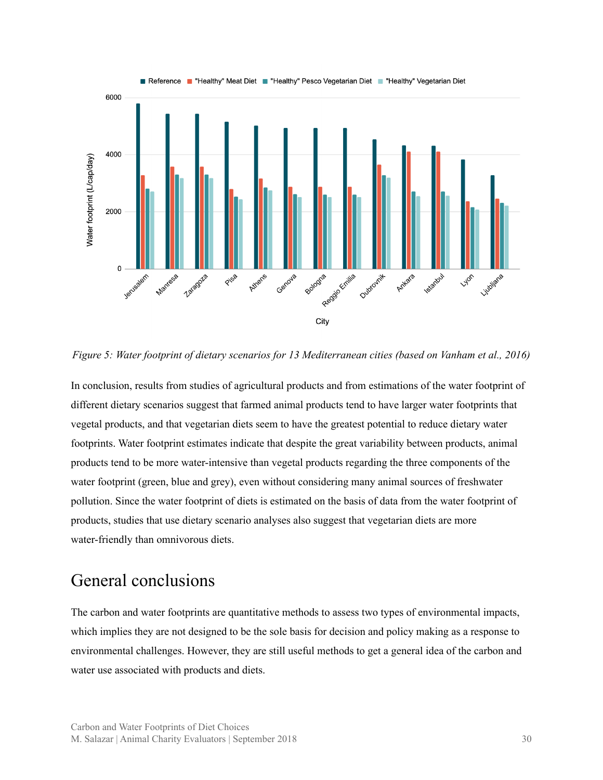

*Figure 5: Water footprint of dietary scenarios for 13 Mediterranean cities (based on Vanham et al., 2016)*

In conclusion, results from studies of agricultural products and from estimations of the water footprint of different dietary scenarios suggest that farmed animal products tend to have larger water footprints that vegetal products, and that vegetarian diets seem to have the greatest potential to reduce dietary water footprints. Water footprint estimates indicate that despite the great variability between products, animal products tend to be more water-intensive than vegetal products regarding the three components of the water footprint (green, blue and grey), even without considering many animal sources of freshwater pollution. Since the water footprint of diets is estimated on the basis of data from the water footprint of products, studies that use dietary scenario analyses also suggest that vegetarian diets are more water-friendly than omnivorous diets.

#### <span id="page-29-0"></span>General conclusions

The carbon and water footprints are quantitative methods to assess two types of environmental impacts, which implies they are not designed to be the sole basis for decision and policy making as a response to environmental challenges. However, they are still useful methods to get a general idea of the carbon and water use associated with products and diets.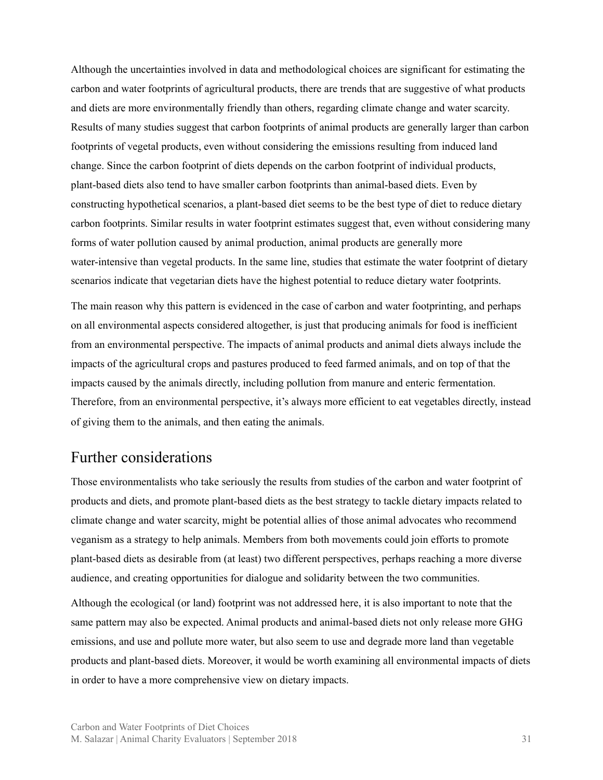Although the uncertainties involved in data and methodological choices are significant for estimating the carbon and water footprints of agricultural products, there are trends that are suggestive of what products and diets are more environmentally friendly than others, regarding climate change and water scarcity. Results of many studies suggest that carbon footprints of animal products are generally larger than carbon footprints of vegetal products, even without considering the emissions resulting from induced land change. Since the carbon footprint of diets depends on the carbon footprint of individual products, plant-based diets also tend to have smaller carbon footprints than animal-based diets. Even by constructing hypothetical scenarios, a plant-based diet seems to be the best type of diet to reduce dietary carbon footprints. Similar results in water footprint estimates suggest that, even without considering many forms of water pollution caused by animal production, animal products are generally more water-intensive than vegetal products. In the same line, studies that estimate the water footprint of dietary scenarios indicate that vegetarian diets have the highest potential to reduce dietary water footprints.

The main reason why this pattern is evidenced in the case of carbon and water footprinting, and perhaps on all environmental aspects considered altogether, is just that producing animals for food is inefficient from an environmental perspective. The impacts of animal products and animal diets always include the impacts of the agricultural crops and pastures produced to feed farmed animals, and on top of that the impacts caused by the animals directly, including pollution from manure and enteric fermentation. Therefore, from an environmental perspective, it's always more efficient to eat vegetables directly, instead of giving them to the animals, and then eating the animals.

#### <span id="page-30-0"></span>Further considerations

Those environmentalists who take seriously the results from studies of the carbon and water footprint of products and diets, and promote plant-based diets as the best strategy to tackle dietary impacts related to climate change and water scarcity, might be potential allies of those animal advocates who recommend veganism as a strategy to help animals. Members from both movements could join efforts to promote plant-based diets as desirable from (at least) two different perspectives, perhaps reaching a more diverse audience, and creating opportunities for dialogue and solidarity between the two communities.

Although the ecological (or land) footprint was not addressed here, it is also important to note that the same pattern may also be expected. Animal products and animal-based diets not only release more GHG emissions, and use and pollute more water, but also seem to use and degrade more land than vegetable products and plant-based diets. Moreover, it would be worth examining all environmental impacts of diets in order to have a more comprehensive view on dietary impacts.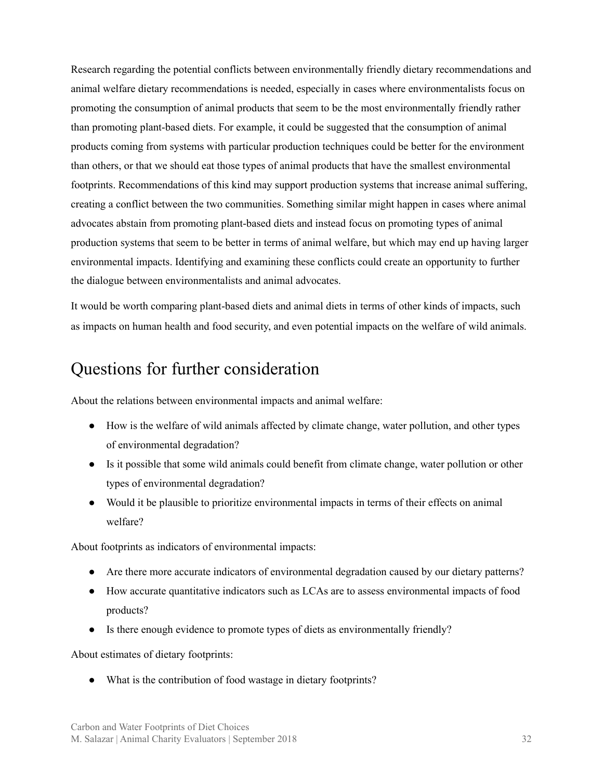Research regarding the potential conflicts between environmentally friendly dietary recommendations and animal welfare dietary recommendations is needed, especially in cases where environmentalists focus on promoting the consumption of animal products that seem to be the most environmentally friendly rather than promoting plant-based diets. For example, it could be suggested that the consumption of animal products coming from systems with particular production techniques could be better for the environment than others, or that we should eat those types of animal products that have the smallest environmental footprints. Recommendations of this kind may support production systems that increase animal suffering, creating a conflict between the two communities. Something similar might happen in cases where animal advocates abstain from promoting plant-based diets and instead focus on promoting types of animal production systems that seem to be better in terms of animal welfare, but which may end up having larger environmental impacts. Identifying and examining these conflicts could create an opportunity to further the dialogue between environmentalists and animal advocates.

It would be worth comparing plant-based diets and animal diets in terms of other kinds of impacts, such as impacts on human health and food security, and even potential impacts on the welfare of wild animals.

### <span id="page-31-0"></span>Questions for further consideration

About the relations between environmental impacts and animal welfare:

- How is the welfare of wild animals affected by climate change, water pollution, and other types of environmental degradation?
- Is it possible that some wild animals could benefit from climate change, water pollution or other types of environmental degradation?
- Would it be plausible to prioritize environmental impacts in terms of their effects on animal welfare?

About footprints as indicators of environmental impacts:

- Are there more accurate indicators of environmental degradation caused by our dietary patterns?
- How accurate quantitative indicators such as LCAs are to assess environmental impacts of food products?
- Is there enough evidence to promote types of diets as environmentally friendly?

About estimates of dietary footprints:

• What is the contribution of food wastage in dietary footprints?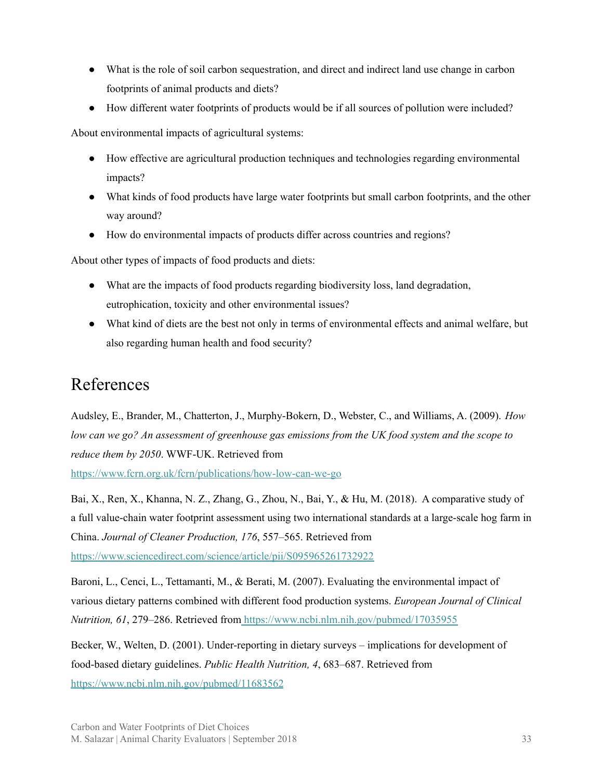- What is the role of soil carbon sequestration, and direct and indirect land use change in carbon footprints of animal products and diets?
- How different water footprints of products would be if all sources of pollution were included?

About environmental impacts of agricultural systems:

- How effective are agricultural production techniques and technologies regarding environmental impacts?
- What kinds of food products have large water footprints but small carbon footprints, and the other way around?
- How do environmental impacts of products differ across countries and regions?

About other types of impacts of food products and diets:

- What are the impacts of food products regarding biodiversity loss, land degradation, eutrophication, toxicity and other environmental issues?
- What kind of diets are the best not only in terms of environmental effects and animal welfare, but also regarding human health and food security?

### <span id="page-32-0"></span>References

Audsley, E., Brander, M., Chatterton, J., Murphy-Bokern, D., Webster, C., and Williams, A. (2009). *How* low can we go? An assessment of greenhouse gas emissions from the UK food system and the scope to *reduce them by 2050*. WWF-UK. Retrieved from <https://www.fcrn.org.uk/fcrn/publications/how-low-can-we-go>

Bai, X., Ren, X., Khanna, N. Z., Zhang, G., Zhou, N., Bai, Y., & Hu, M. (2018). A comparative study of a full value-chain water footprint assessment using two international standards at a large-scale hog farm in China. *Journal of Cleaner Production, 176*, 557–565. Retrieved fro[m](https://www.sciencedirect.com/science/article/pii/S0959652617329220) [https://www.sciencedirect.com/science/article/pii/S095965261732922](https://www.sciencedirect.com/science/article/pii/S0959652617329220)

Baroni, L., Cenci, L., Tettamanti, M., & Berati, M. (2007). Evaluating the environmental impact of various dietary patterns combined with different food production systems. *European Journal of Clinical Nutrition, 61*, 279–286. Retrieved from <https://www.ncbi.nlm.nih.gov/pubmed/17035955>

Becker, W., Welten, D. (2001). Under-reporting in dietary surveys – implications for development of food-based dietary guidelines. *Public Health Nutrition, 4*, 683–687. Retrieved fro[m](https://www.ncbi.nlm.nih.gov/pubmed/11683562) <https://www.ncbi.nlm.nih.gov/pubmed/11683562>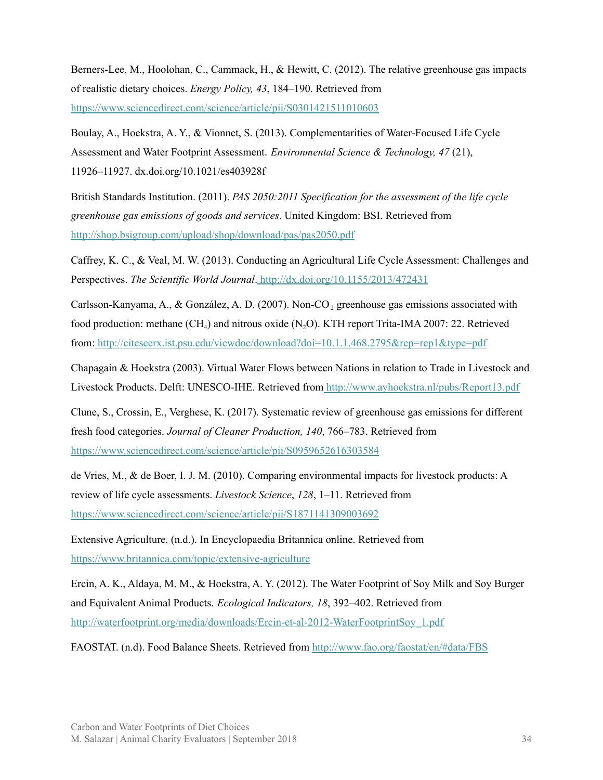Berners-Lee, M., Hoolohan, C., Cammack, H., & Hewitt, C. (2012). The relative greenhouse gas impacts of realistic dietary choices. *Energy Policy, 43*, 184–190. Retrieved from <https://www.sciencedirect.com/science/article/pii/S0301421511010603>

Boulay, A., Hoekstra, A. Y., & Vionnet, S. (2013). Complementarities of Water-Focused Life Cycle Assessment and Water Footprint Assessment. *Environmental Science & Technology, 47* (21), 11926–11927. dx.doi.org/10.1021/es403928f

British Standards Institution. (2011). *PAS 2050:2011 Specification for the assessment of the life cycle greenhouse gas emissions of goods and services*. United Kingdom: BSI. Retrieved fro[m](http://shop.bsigroup.com/upload/shop/download/pas/pas2050.pdf) <http://shop.bsigroup.com/upload/shop/download/pas/pas2050.pdf>

Caffrey, K. C., & Veal, M. W. (2013). Conducting an Agricultural Life Cycle Assessment: Challenges and Perspectives. *The Scientific World Journal*. <http://dx.doi.org/10.1155/2013/472431>

Carlsson-Kanyama, A., & González, A. D. (2007). Non-CO<sub>2</sub> greenhouse gas emissions associated with food production: methane  $(CH_4)$  and nitrous oxide  $(N_2O)$ . KTH report Trita-IMA 2007: 22. Retrieved from: <http://citeseerx.ist.psu.edu/viewdoc/download?doi=10.1.1.468.2795&rep=rep1&type=pdf>

Chapagain & Hoekstra (2003). Virtual Water Flows between Nations in relation to Trade in Livestock and Livestock Products. Delft: UNESCO-IHE. Retrieved from <http://www.ayhoekstra.nl/pubs/Report13.pdf>

Clune, S., Crossin, E., Verghese, K. (2017). Systematic review of greenhouse gas emissions for different fresh food categories. *Journal of Cleaner Production, 140*, 766–783. Retrieved fro[m](https://www.sciencedirect.com/science/article/pii/S0959652616303584) <https://www.sciencedirect.com/science/article/pii/S0959652616303584>

de Vries, M., & de Boer, I. J. M. (2010). Comparing environmental impacts for livestock products: A review of life cycle assessments. *Livestock Science*, *128*, 1–11. Retrieved from <https://www.sciencedirect.com/science/article/pii/S1871141309003692>

Extensive Agriculture. (n.d.). In Encyclopaedia Britannica online. Retrieved from <https://www.britannica.com/topic/extensive-agriculture>

Ercin, A. K., Aldaya, M. M., & Hoekstra, A. Y. (2012). The Water Footprint of Soy Milk and Soy Burger and Equivalent Animal Products. *Ecological Indicators, 18*, 392–402. Retrieved fro[m](http://waterfootprint.org/media/downloads/Ercin-et-al-2012-WaterFootprintSoy_1.pdf) [http://waterfootprint.org/media/downloads/Ercin-et-al-2012-WaterFootprintSoy\\_1.pdf](http://waterfootprint.org/media/downloads/Ercin-et-al-2012-WaterFootprintSoy_1.pdf)

FAOSTAT. (n.d). Food Balance Sheets. Retrieved from <http://www.fao.org/faostat/en/#data/FBS>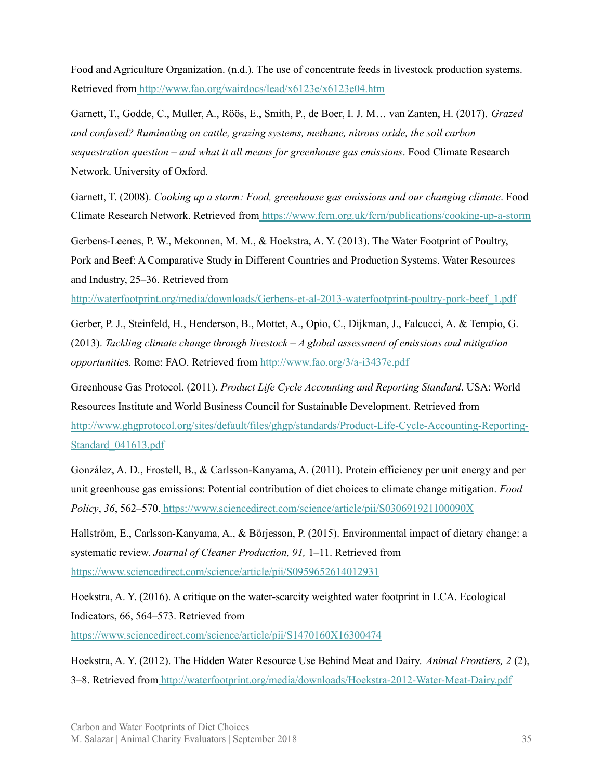Food and Agriculture Organization. (n.d.). The use of concentrate feeds in livestock production systems. Retrieved from <http://www.fao.org/wairdocs/lead/x6123e/x6123e04.htm>

Garnett, T., Godde, C., Muller, A., Röös, E., Smith, P., de Boer, I. J. M… van Zanten, H. (2017). *Grazed and confused? Ruminating on cattle, grazing systems, methane, nitrous oxide, the soil carbon sequestration question – and what it all means for greenhouse gas emissions*. Food Climate Research Network. University of Oxford.

Garnett, T. (2008). *Cooking up a storm: Food, greenhouse gas emissions and our changing climate*. Food Climate Research Network. Retrieved from <https://www.fcrn.org.uk/fcrn/publications/cooking-up-a-storm>

Gerbens-Leenes, P. W., Mekonnen, M. M., & Hoekstra, A. Y. (2013). The Water Footprint of Poultry, Pork and Beef: A Comparative Study in Different Countries and Production Systems. Water Resources and Industry, 25–36. Retrieved from

[http://waterfootprint.org/media/downloads/Gerbens-et-al-2013-waterfootprint-poultry-pork-beef\\_1.pdf](http://waterfootprint.org/media/downloads/Gerbens-et-al-2013-waterfootprint-poultry-pork-beef_1.pdf)

Gerber, P. J., Steinfeld, H., Henderson, B., Mottet, A., Opio, C., Dijkman, J., Falcucci, A. & Tempio, G. (2013). *Tackling climate change through livestock – A global assessment of emissions and mitigation opportunitie*s. Rome: FAO. Retrieved from <http://www.fao.org/3/a-i3437e.pdf>

Greenhouse Gas Protocol. (2011). *Product Life Cycle Accounting and Reporting Standard*. USA: World Resources Institute and World Business Council for Sustainable Development. Retrieved fro[m](http://www.ghgprotocol.org/sites/default/files/ghgp/standards/Product-Life-Cycle-Accounting-Reporting-Standard_041613.pdf) [http://www.ghgprotocol.org/sites/default/files/ghgp/standards/Product-Life-Cycle-Accounting-Reporting-](http://www.ghgprotocol.org/sites/default/files/ghgp/standards/Product-Life-Cycle-Accounting-Reporting-Standard_041613.pdf)[Standard\\_041613.pdf](http://www.ghgprotocol.org/sites/default/files/ghgp/standards/Product-Life-Cycle-Accounting-Reporting-Standard_041613.pdf)

González, A. D., Frostell, B., & Carlsson-Kanyama, A. (2011). Protein efficiency per unit energy and per unit greenhouse gas emissions: Potential contribution of diet choices to climate change mitigation. *Food Policy*, *36*, 562–570. <https://www.sciencedirect.com/science/article/pii/S030691921100090X>

Hallström, E., Carlsson-Kanyama, A., & Börjesson, P. (2015). Environmental impact of dietary change: a systematic review. *Journal of Cleaner Production, 91,* 1–11. Retrieved fro[m](https://www.sciencedirect.com/science/article/pii/S0959652614012931) <https://www.sciencedirect.com/science/article/pii/S0959652614012931>

Hoekstra, A. Y. (2016). A critique on the water-scarcity weighted water footprint in LCA. Ecological Indicators, 66, 564–573. Retrieved from

<https://www.sciencedirect.com/science/article/pii/S1470160X16300474>

Hoekstra, A. Y. (2012). The Hidden Water Resource Use Behind Meat and Dairy. *Animal Frontiers, 2* (2), 3–8. Retrieved from <http://waterfootprint.org/media/downloads/Hoekstra-2012-Water-Meat-Dairy.pdf>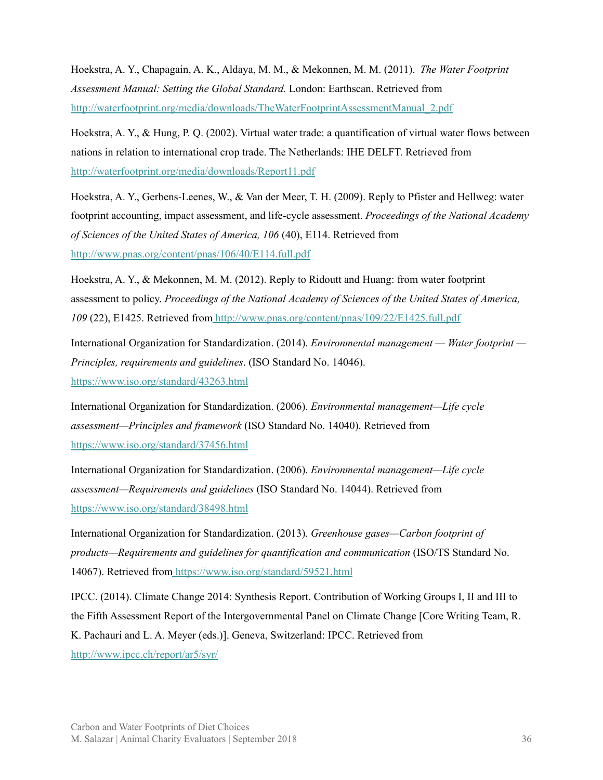Hoekstra, A. Y., Chapagain, A. K., Aldaya, M. M., & Mekonnen, M. M. (2011). *The Water Footprint Assessment Manual: Setting the Global Standard.* London: Earthscan. Retrieved fro[m](http://waterfootprint.org/media/downloads/TheWaterFootprintAssessmentManual_2.pdf) [http://waterfootprint.org/media/downloads/TheWaterFootprintAssessmentManual\\_2.pdf](http://waterfootprint.org/media/downloads/TheWaterFootprintAssessmentManual_2.pdf)

Hoekstra, A. Y., & Hung, P. Q. (2002). Virtual water trade: a quantification of virtual water flows between nations in relation to international crop trade. The Netherlands: IHE DELFT. Retrieved from <http://waterfootprint.org/media/downloads/Report11.pdf>

Hoekstra, A. Y., Gerbens-Leenes, W., & Van der Meer, T. H. (2009). Reply to Pfister and Hellweg: water footprint accounting, impact assessment, and life-cycle assessment. *Proceedings of the National Academy of Sciences of the United States of America, 106* (40), E114. Retrieved fro[m](http://www.pnas.org/content/pnas/106/40/E114.full.pdf) <http://www.pnas.org/content/pnas/106/40/E114.full.pdf>

Hoekstra, A. Y., & Mekonnen, M. M. (2012). Reply to Ridoutt and Huang: from water footprint assessment to policy. *Proceedings of the National Academy of Sciences of the United States of America, 109* (22), E1425. Retrieved from <http://www.pnas.org/content/pnas/109/22/E1425.full.pdf>

International Organization for Standardization. (2014). *Environmental management — Water footprint — Principles, requirements and guidelines*. (ISO Standard No. 14046)[.](https://www.iso.org/standard/43263.html) <https://www.iso.org/standard/43263.html>

International Organization for Standardization. (2006). *Environmental management—Life cycle assessment—Principles and framework* (ISO Standard No. 14040). Retrieved from <https://www.iso.org/standard/37456.html>

International Organization for Standardization. (2006). *Environmental management—Life cycle assessment—Requirements and guidelines* (ISO Standard No. 14044). Retrieved from <https://www.iso.org/standard/38498.html>

International Organization for Standardization. (2013). *Greenhouse gases—Carbon footprint of products—Requirements and guidelines for quantification and communication* (ISO/TS Standard No. 14067). Retrieved from <https://www.iso.org/standard/59521.html>

IPCC. (2014). Climate Change 2014: Synthesis Report. Contribution of Working Groups I, II and III to the Fifth Assessment Report of the Intergovernmental Panel on Climate Change [Core Writing Team, R. K. Pachauri and L. A. Meyer (eds.)]. Geneva, Switzerland: IPCC. Retrieved from <http://www.ipcc.ch/report/ar5/syr/>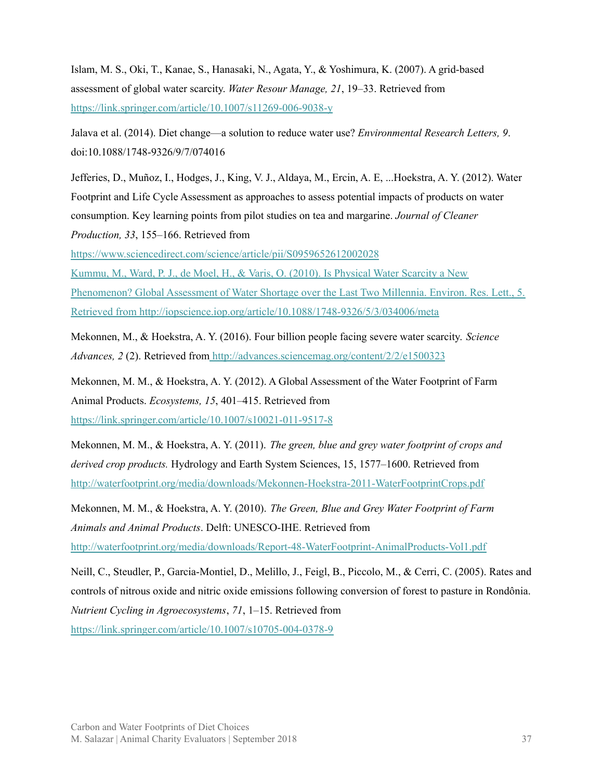Islam, M. S., Oki, T., Kanae, S., Hanasaki, N., Agata, Y., & Yoshimura, K. (2007). A grid-based assessment of global water scarcity. *Water Resour Manage, 21*, 19–33. Retrieved fro[m](https://link.springer.com/article/10.1007/s11269-006-9038-y) <https://link.springer.com/article/10.1007/s11269-006-9038-y>

Jalava et al. (2014). Diet change—a solution to reduce water use? *Environmental Research Letters, 9*. doi:10.1088/1748-9326/9/7/074016

Jefferies, D., Muñoz, I., Hodges, J., King, V. J., Aldaya, M., Ercin, A. E, ...Hoekstra, A. Y. (2012). Water Footprint and Life Cycle Assessment as approaches to assess potential impacts of products on water consumption. Key learning points from pilot studies on tea and margarine. *Journal of Cleaner Production, 33*, 155–166. Retrieved from

<https://www.sciencedirect.com/science/article/pii/S0959652612002028>

Kummu, M., Ward, P. J., de Moel, H., & Varis, O. (2010). Is Physical Water Scarcity a New Phenomenon? Global Assessment of Water Shortage over the Last Two Millennia. Environ. Res. Lett., 5. Retrieved from <http://iopscience.iop.org/article/10.1088/1748-9326/5/3/034006/meta>

Mekonnen, M., & Hoekstra, A. Y. (2016). Four billion people facing severe water scarcity. *Science Advances, 2* (2). Retrieved from <http://advances.sciencemag.org/content/2/2/e1500323>

Mekonnen, M. M., & Hoekstra, A. Y. (2012). A Global Assessment of the Water Footprint of Farm Animal Products. *Ecosystems, 15*, 401–415. Retrieved fro[m](https://link.springer.com/article/10.1007/s10021-011-9517-8) <https://link.springer.com/article/10.1007/s10021-011-9517-8>

Mekonnen, M. M., & Hoekstra, A. Y. (2011). *The green, blue and grey water footprint of crops and derived crop products.* Hydrology and Earth System Sciences, 15, 1577–1600. Retrieved from <http://waterfootprint.org/media/downloads/Mekonnen-Hoekstra-2011-WaterFootprintCrops.pdf>

Mekonnen, M. M., & Hoekstra, A. Y. (2010). *The Green, Blue and Grey Water Footprint of Farm Animals and Animal Products*. Delft: UNESCO-IHE. Retrieved from <http://waterfootprint.org/media/downloads/Report-48-WaterFootprint-AnimalProducts-Vol1.pdf>

Neill, C., Steudler, P., Garcia-Montiel, D., Melillo, J., Feigl, B., Piccolo, M., & Cerri, C. (2005). Rates and controls of nitrous oxide and nitric oxide emissions following conversion of forest to pasture in Rondônia. *Nutrient Cycling in Agroecosystems*, *71*, 1–15. Retrieved fro[m](https://link.springer.com/article/10.1007/s10705-004-0378-9) <https://link.springer.com/article/10.1007/s10705-004-0378-9>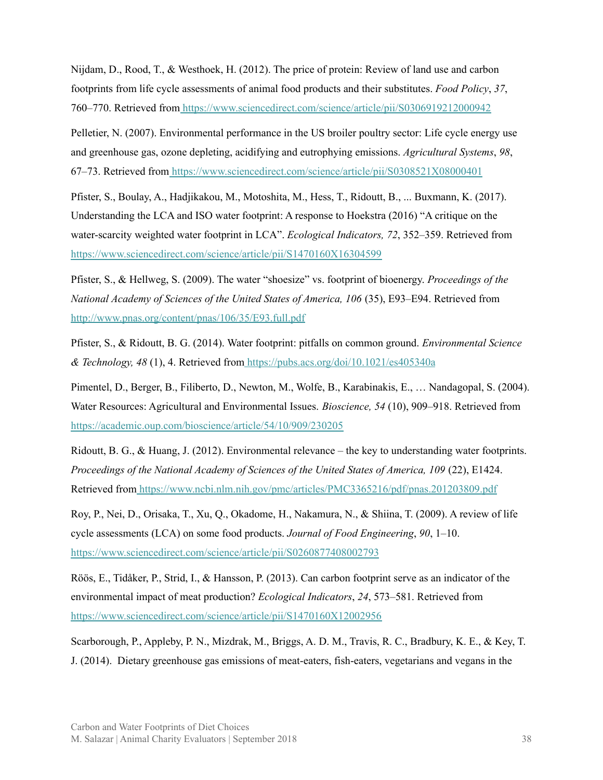Nijdam, D., Rood, T., & Westhoek, H. (2012). The price of protein: Review of land use and carbon footprints from life cycle assessments of animal food products and their substitutes. *Food Policy*, *37*, 760–770. Retrieved from <https://www.sciencedirect.com/science/article/pii/S0306919212000942>

Pelletier, N. (2007). Environmental performance in the US broiler poultry sector: Life cycle energy use and greenhouse gas, ozone depleting, acidifying and eutrophying emissions. *Agricultural Systems*, *98*, 67–73. Retrieved from <https://www.sciencedirect.com/science/article/pii/S0308521X08000401>

Pfister, S., Boulay, A., Hadjikakou, M., Motoshita, M., Hess, T., Ridoutt, B., ... Buxmann, K. (2017). Understanding the LCA and ISO water footprint: A response to Hoekstra (2016) "A critique on the water-scarcity weighted water footprint in LCA". *Ecological Indicators, 72*, 352–359. Retrieved fro[m](https://www.sciencedirect.com/science/article/pii/S1470160X16304599) <https://www.sciencedirect.com/science/article/pii/S1470160X16304599>

Pfister, S., & Hellweg, S. (2009). The water "shoesize" vs. footprint of bioenergy. *Proceedings of the National Academy of Sciences of the United States of America, 106* (35), E93–E94. Retrieved from <http://www.pnas.org/content/pnas/106/35/E93.full.pdf>

Pfister, S., & Ridoutt, B. G. (2014). Water footprint: pitfalls on common ground. *Environmental Science & Technology, 48* (1), 4. Retrieved from <https://pubs.acs.org/doi/10.1021/es405340a>

Pimentel, D., Berger, B., Filiberto, D., Newton, M., Wolfe, B., Karabinakis, E., … Nandagopal, S. (2004). Water Resources: Agricultural and Environmental Issues. *Bioscience, 54* (10), 909–918. Retrieved from <https://academic.oup.com/bioscience/article/54/10/909/230205>

Ridoutt, B. G., & Huang, J. (2012). Environmental relevance – the key to understanding water footprints. *Proceedings of the National Academy of Sciences of the United States of America, 109* (22), E1424. Retrieved from <https://www.ncbi.nlm.nih.gov/pmc/articles/PMC3365216/pdf/pnas.201203809.pdf>

Roy, P., Nei, D., Orisaka, T., Xu, Q., Okadome, H., Nakamura, N., & Shiina, T. (2009). A review of life cycle assessments (LCA) on some food products. *Journal of Food Engineering*, *90*, 1–10[.](https://www.sciencedirect.com/science/article/pii/S0260877408002793) <https://www.sciencedirect.com/science/article/pii/S0260877408002793>

Röös, E., Tidåker, P., Strid, I., & Hansson, P. (2013). Can carbon footprint serve as an indicator of the environmental impact of meat production? *Ecological Indicators*, *24*, 573–581. Retrieved from <https://www.sciencedirect.com/science/article/pii/S1470160X12002956>

Scarborough, P., Appleby, P. N., Mizdrak, M., Briggs, A. D. M., Travis, R. C., Bradbury, K. E., & Key, T. J. (2014). Dietary greenhouse gas emissions of meat-eaters, fish-eaters, vegetarians and vegans in the